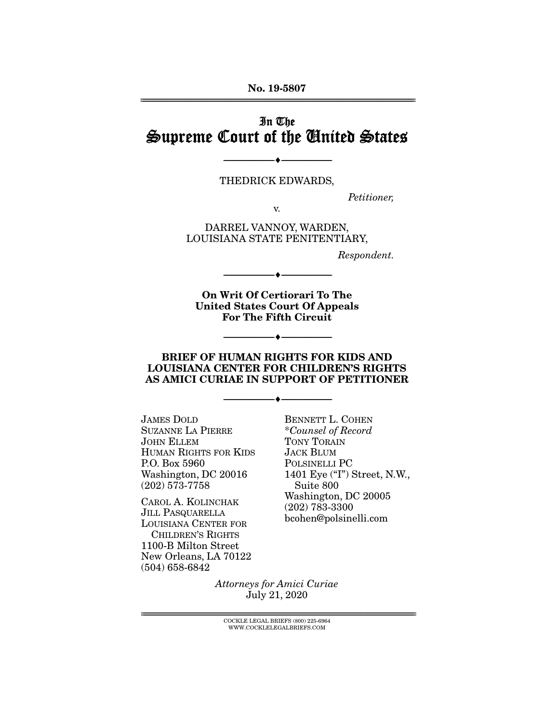No. 19-5807 ================================================================================================================

## In The Supreme Court of the United States

THEDRICK EDWARDS,

--------------------------------- ---------------------------------

*Petitioner,* 

DARREL VANNOY, WARDEN, LOUISIANA STATE PENITENTIARY,

v.

*Respondent.* 

On Writ Of Certiorari To The United States Court Of Appeals For The Fifth Circuit

--------------------------------- ---------------------------------

--------------------------------- ---------------------------------

#### BRIEF OF HUMAN RIGHTS FOR KIDS AND LOUISIANA CENTER FOR CHILDREN'S RIGHTS AS AMICI CURIAE IN SUPPORT OF PETITIONER

--------------------------------- ---------------------------------

JAMES DOLD SUZANNE LA PIERRE JOHN ELLEM HUMAN RIGHTS FOR KIDS P.O. Box 5960 Washington, DC 20016 (202) 573-7758

CAROL A. KOLINCHAK JILL PASQUARELLA LOUISIANA CENTER FOR CHILDREN'S RIGHTS 1100-B Milton Street New Orleans, LA 70122 (504) 658-6842

BENNETT L. COHEN \**Counsel of Record* TONY TORAIN JACK BLUM POLSINELLI PC 1401 Eye ("I") Street, N.W., Suite 800 Washington, DC 20005 (202) 783-3300 bcohen@polsinelli.com

*Attorneys for Amici Curiae*  July 21, 2020

 $COCKLE LEGAL BRIERS (800) 225-6964$ WWW.COCKLELEGALBRIEFS.COM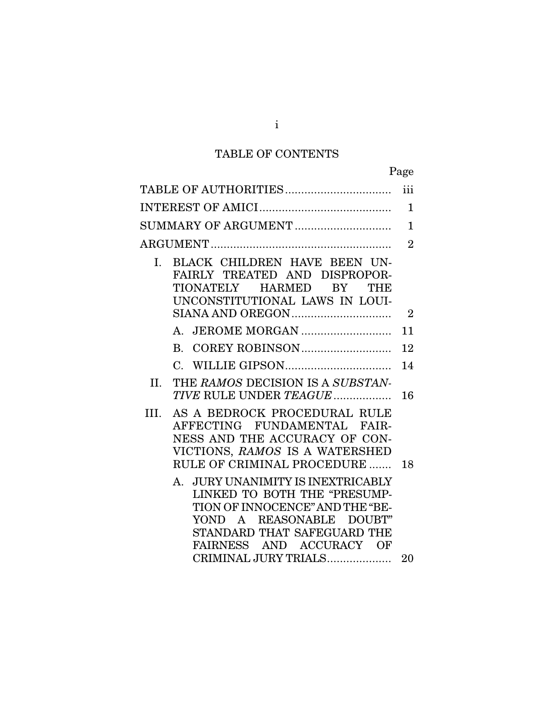# TABLE OF CONTENTS

|                                                                                                                                                                                                                                              | Page           |
|----------------------------------------------------------------------------------------------------------------------------------------------------------------------------------------------------------------------------------------------|----------------|
|                                                                                                                                                                                                                                              | iii            |
|                                                                                                                                                                                                                                              | 1              |
| SUMMARY OF ARGUMENT                                                                                                                                                                                                                          | $\mathbf{1}$   |
|                                                                                                                                                                                                                                              | $\overline{2}$ |
| BLACK CHILDREN HAVE BEEN UN-<br>L.<br>FAIRLY TREATED AND DISPROPOR-<br>TIONATELY<br>HARMED<br>BY<br>THE<br>UNCONSTITUTIONAL LAWS IN LOUI-                                                                                                    |                |
|                                                                                                                                                                                                                                              | $\overline{2}$ |
|                                                                                                                                                                                                                                              | 11             |
| $\mathbf{B}$ .                                                                                                                                                                                                                               | 12             |
|                                                                                                                                                                                                                                              | 14             |
| THE RAMOS DECISION IS A SUBSTAN-<br>II.<br>TIVE RULE UNDER TEAGUE                                                                                                                                                                            | 16             |
| AS A BEDROCK PROCEDURAL RULE<br>HL.<br>AFFECTING FUNDAMENTAL FAIR-<br>NESS AND THE ACCURACY OF CON-<br>VICTIONS, RAMOS IS A WATERSHED<br>RULE OF CRIMINAL PROCEDURE                                                                          | 18             |
| <b>JURY UNANIMITY IS INEXTRICABLY</b><br>$A_{\cdot}$<br>LINKED TO BOTH THE "PRESUMP-<br>TION OF INNOCENCE" AND THE "BE-<br>A REASONABLE<br>YOND<br>DOUBT"<br>STANDARD THAT SAFEGUARD THE<br>FAIRNESS AND ACCURACY OF<br>CRIMINAL JURY TRIALS | 20             |
|                                                                                                                                                                                                                                              |                |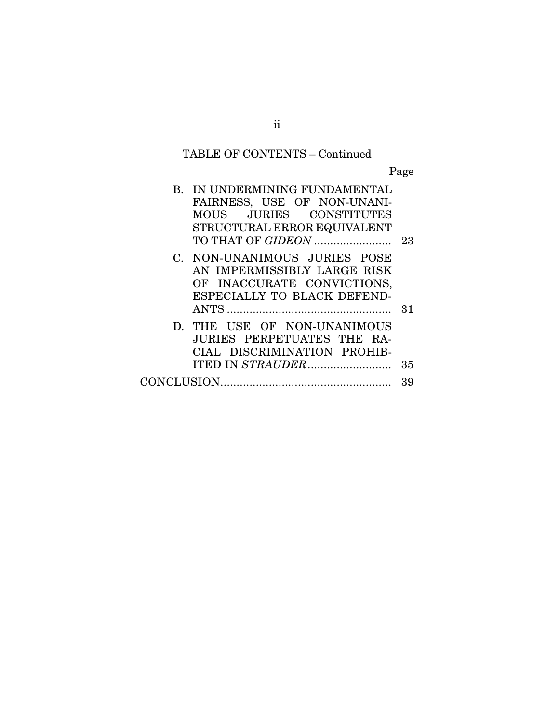# TABLE OF CONTENTS – Continued

Page

| B. IN UNDERMINING FUNDAMENTAL<br>FAIRNESS, USE OF NON-UNANI-<br>MOUS JURIES CONSTITUTES<br>STRUCTURAL ERROR EQUIVALENT   |    |
|--------------------------------------------------------------------------------------------------------------------------|----|
| TO THAT OF GIDEON                                                                                                        | 23 |
| C. NON-UNANIMOUS JURIES POSE<br>AN IMPERMISSIBLY LARGE RISK<br>OF INACCURATE CONVICTIONS,<br>ESPECIALLY TO BLACK DEFEND- | 31 |
| D. THE USE OF NON-UNANIMOUS<br>JURIES PERPETUATES THE RA-<br>CIAL DISCRIMINATION PROHIB-                                 | 35 |
|                                                                                                                          |    |
|                                                                                                                          | 39 |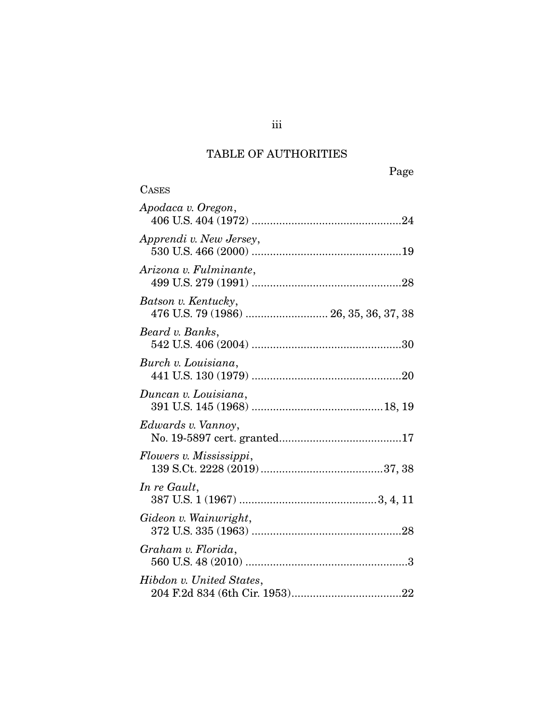## TABLE OF AUTHORITIES

| <b>CASES</b>                                                  |
|---------------------------------------------------------------|
| Apodaca v. Oregon,                                            |
| Apprendi v. New Jersey,                                       |
| Arizona v. Fulminante,                                        |
| Batson v. Kentucky,<br>476 U.S. 79 (1986)  26, 35, 36, 37, 38 |
| Beard v. Banks,                                               |
| Burch v. Louisiana,                                           |
| Duncan v. Louisiana,                                          |
| Edwards v. Vannoy,                                            |
| Flowers v. Mississippi,                                       |
| In re Gault,                                                  |
| Gideon v. Wainwright,                                         |
| Graham v. Florida,                                            |
| Hibdon v. United States,                                      |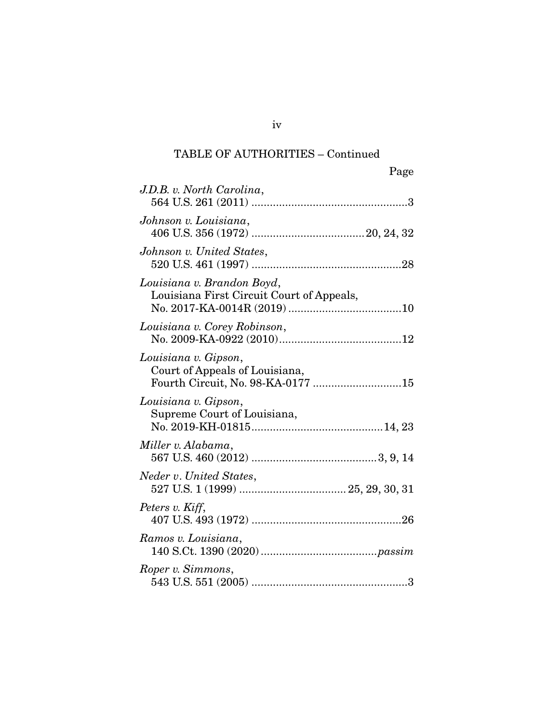| Page                                                                                        |
|---------------------------------------------------------------------------------------------|
| J.D.B. v. North Carolina,                                                                   |
| Johnson v. Louisiana,                                                                       |
| Johnson v. United States,                                                                   |
| Louisiana v. Brandon Boyd,<br>Louisiana First Circuit Court of Appeals,                     |
| Louisiana v. Corey Robinson,                                                                |
| Louisiana v. Gipson,<br>Court of Appeals of Louisiana,<br>Fourth Circuit, No. 98-KA-0177 15 |
| Louisiana v. Gipson,<br>Supreme Court of Louisiana,                                         |
| Miller v. Alabama,                                                                          |
| Neder v. United States,                                                                     |
| Peters v. Kiff,                                                                             |
| Ramos v. Louisiana,                                                                         |
| Roper v. Simmons,                                                                           |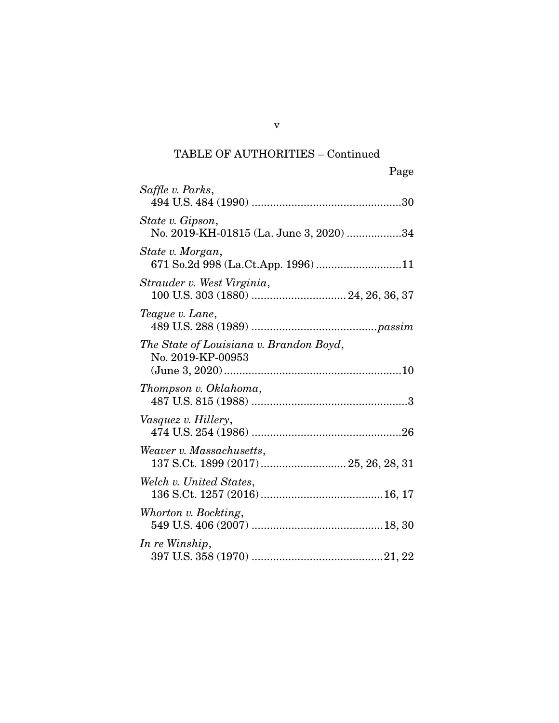| Page                                                              |
|-------------------------------------------------------------------|
| Saffle v. Parks,                                                  |
| State v. Gipson,<br>No. 2019-KH-01815 (La. June 3, 2020) 34       |
| State v. Morgan,<br>671 So.2d 998 (La.Ct.App. 1996) 11            |
| Strauder v. West Virginia,                                        |
| Teague v. Lane,                                                   |
| The State of Louisiana v. Brandon Boyd,<br>No. 2019-KP-00953      |
| Thompson v. Oklahoma,                                             |
| Vasquez v. Hillery,                                               |
| Weaver v. Massachusetts,<br>137 S.Ct. 1899 (2017)  25, 26, 28, 31 |
| Welch v. United States,                                           |
| Whorton v. Bockting,                                              |
| In re Winship,                                                    |

v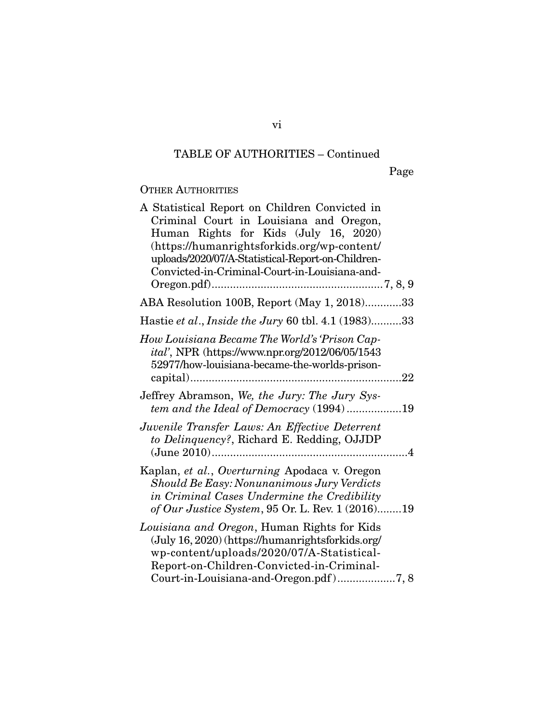Page

## OTHER AUTHORITIES

| A Statistical Report on Children Convicted in<br>Criminal Court in Louisiana and Oregon,<br>Human Rights for Kids (July 16, 2020)<br>(https://humanrightsforkids.org/wp-content/<br>uploads/2020/07/A-Statistical-Report-on-Children-<br>Convicted-in-Criminal-Court-in-Louisiana-and- |
|----------------------------------------------------------------------------------------------------------------------------------------------------------------------------------------------------------------------------------------------------------------------------------------|
| ABA Resolution 100B, Report (May 1, 2018)33                                                                                                                                                                                                                                            |
| Hastie et al., Inside the Jury 60 tbl. 4.1 (1983)33                                                                                                                                                                                                                                    |
| How Louisiana Became The World's 'Prison Cap-<br>ital', NPR (https://www.npr.org/2012/06/05/1543<br>52977/how-louisiana-became-the-worlds-prison-                                                                                                                                      |
| Jeffrey Abramson, We, the Jury: The Jury Sys-<br>tem and the Ideal of Democracy $(1994)$ 19                                                                                                                                                                                            |
| Juvenile Transfer Laws: An Effective Deterrent<br>to Delinquency?, Richard E. Redding, OJJDP                                                                                                                                                                                           |
| Kaplan, et al., Overturning Apodaca v. Oregon<br>Should Be Easy: Nonunanimous Jury Verdicts<br>in Criminal Cases Undermine the Credibility<br>of Our Justice System, 95 Or. L. Rev. 1 (2016)19                                                                                         |
| Louisiana and Oregon, Human Rights for Kids<br>(July 16, 2020) (https://humanrightsforkids.org/<br>wp-content/uploads/2020/07/A-Statistical-<br>Report-on-Children-Convicted-in-Criminal-<br>Court-in-Louisiana-and-Oregon.pdf)7,8                                                     |

vi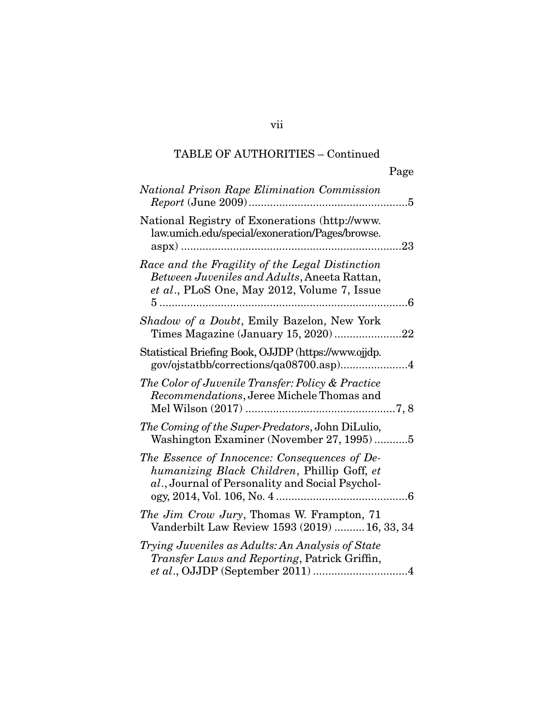|                                                                                                                                                       | Page |
|-------------------------------------------------------------------------------------------------------------------------------------------------------|------|
| National Prison Rape Elimination Commission                                                                                                           |      |
| National Registry of Exonerations (http://www.<br>law.umich.edu/special/exoneration/Pages/browse.                                                     | 23   |
| Race and the Fragility of the Legal Distinction<br>Between Juveniles and Adults, Aneeta Rattan,<br>et al., PLoS One, May 2012, Volume 7, Issue<br>$5$ |      |
| Shadow of a Doubt, Emily Bazelon, New York<br>Times Magazine (January 15, 2020)22                                                                     |      |
| Statistical Briefing Book, OJJDP (https://www.ojjdp.<br>gov/ojstatbb/corrections/qa08700.asp)4                                                        |      |
| The Color of Juvenile Transfer: Policy & Practice<br>Recommendations, Jeree Michele Thomas and                                                        |      |
| The Coming of the Super-Predators, John DiLulio,<br>Washington Examiner (November 27, 1995)5                                                          |      |
| The Essence of Innocence: Consequences of De-<br>humanizing Black Children, Phillip Goff, et<br>al., Journal of Personality and Social Psychol-       |      |
| The Jim Crow Jury, Thomas W. Frampton, 71<br>Vanderbilt Law Review 1593 (2019)  16, 33, 34                                                            |      |
| Trying Juveniles as Adults: An Analysis of State<br>Transfer Laws and Reporting, Patrick Griffin,                                                     |      |

vii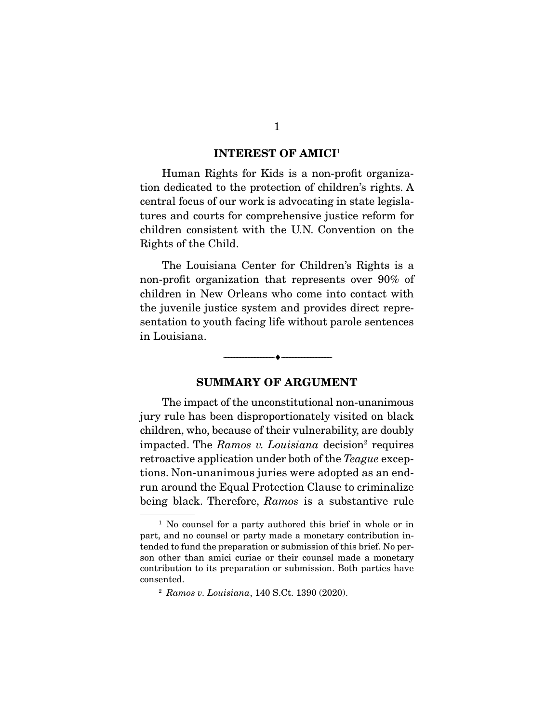#### INTEREST OF AMICI<sup>1</sup>

 Human Rights for Kids is a non-profit organization dedicated to the protection of children's rights. A central focus of our work is advocating in state legislatures and courts for comprehensive justice reform for children consistent with the U.N. Convention on the Rights of the Child.

 The Louisiana Center for Children's Rights is a non-profit organization that represents over 90% of children in New Orleans who come into contact with the juvenile justice system and provides direct representation to youth facing life without parole sentences in Louisiana.

#### SUMMARY OF ARGUMENT

--------------------------------- ---------------------------------

 The impact of the unconstitutional non-unanimous jury rule has been disproportionately visited on black children, who, because of their vulnerability, are doubly impacted. The *Ramos v. Louisiana* decision<sup>2</sup> requires retroactive application under both of the *Teague* exceptions. Non-unanimous juries were adopted as an endrun around the Equal Protection Clause to criminalize being black. Therefore, *Ramos* is a substantive rule

<sup>&</sup>lt;sup>1</sup> No counsel for a party authored this brief in whole or in part, and no counsel or party made a monetary contribution intended to fund the preparation or submission of this brief. No person other than amici curiae or their counsel made a monetary contribution to its preparation or submission. Both parties have consented.

<sup>2</sup> *Ramos v. Louisiana*, 140 S.Ct. 1390 (2020).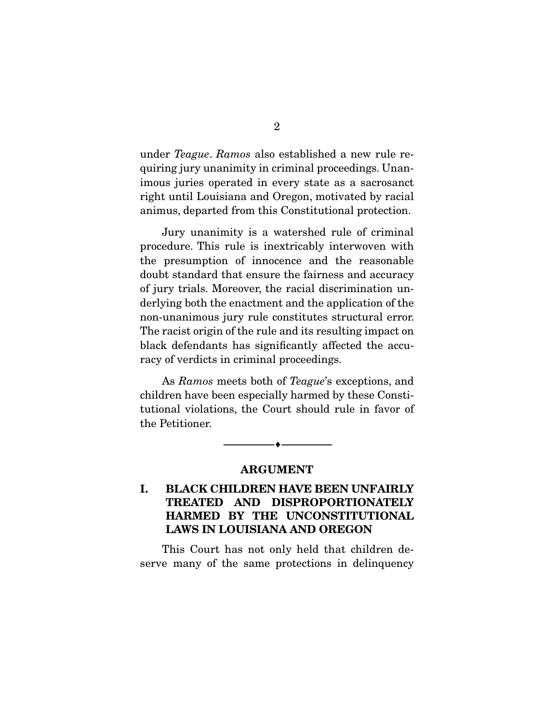under *Teague*. *Ramos* also established a new rule requiring jury unanimity in criminal proceedings. Unanimous juries operated in every state as a sacrosanct right until Louisiana and Oregon, motivated by racial animus, departed from this Constitutional protection.

 Jury unanimity is a watershed rule of criminal procedure. This rule is inextricably interwoven with the presumption of innocence and the reasonable doubt standard that ensure the fairness and accuracy of jury trials. Moreover, the racial discrimination underlying both the enactment and the application of the non-unanimous jury rule constitutes structural error. The racist origin of the rule and its resulting impact on black defendants has significantly affected the accuracy of verdicts in criminal proceedings.

 As *Ramos* meets both of *Teague*'s exceptions, and children have been especially harmed by these Constitutional violations, the Court should rule in favor of the Petitioner.

> --------------------------------- --------------------------------- ARGUMENT

### I. BLACK CHILDREN HAVE BEEN UNFAIRLY TREATED AND DISPROPORTIONATELY HARMED BY THE UNCONSTITUTIONAL LAWS IN LOUISIANA AND OREGON

 This Court has not only held that children deserve many of the same protections in delinquency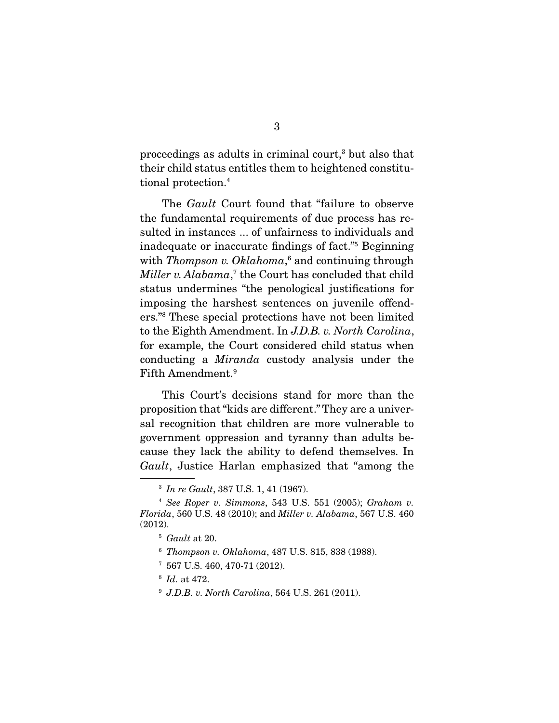proceedings as adults in criminal court,<sup>3</sup> but also that their child status entitles them to heightened constitutional protection.<sup>4</sup>

 The *Gault* Court found that "failure to observe the fundamental requirements of due process has resulted in instances ... of unfairness to individuals and inadequate or inaccurate findings of fact."5 Beginning with *Thompson v. Oklahoma*,<sup>6</sup> and continuing through *Miller v. Alabama*, 7 the Court has concluded that child status undermines "the penological justifications for imposing the harshest sentences on juvenile offenders."8 These special protections have not been limited to the Eighth Amendment. In *J.D.B. v. North Carolina*, for example, the Court considered child status when conducting a *Miranda* custody analysis under the Fifth Amendment.9

 This Court's decisions stand for more than the proposition that "kids are different." They are a universal recognition that children are more vulnerable to government oppression and tyranny than adults because they lack the ability to defend themselves. In *Gault*, Justice Harlan emphasized that "among the

<sup>3</sup> *In re Gault*, 387 U.S. 1, 41 (1967).

<sup>4</sup> *See Roper v. Simmons*, 543 U.S. 551 (2005); *Graham v. Florida*, 560 U.S. 48 (2010); and *Miller v. Alabama*, 567 U.S. 460 (2012).

<sup>5</sup> *Gault* at 20.

<sup>6</sup> *Thompson v. Oklahoma*, 487 U.S. 815, 838 (1988).

<sup>7</sup> 567 U.S. 460, 470-71 (2012).

<sup>8</sup> *Id.* at 472.

<sup>9</sup> *J.D.B. v. North Carolina*, 564 U.S. 261 (2011).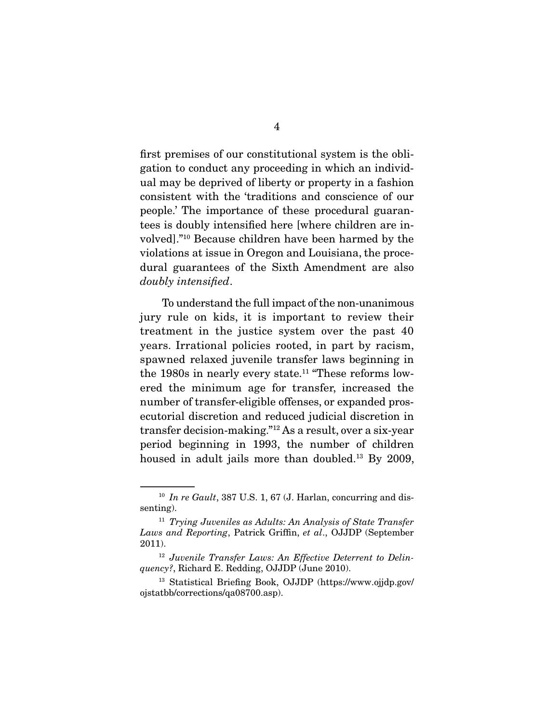first premises of our constitutional system is the obligation to conduct any proceeding in which an individual may be deprived of liberty or property in a fashion consistent with the 'traditions and conscience of our people.' The importance of these procedural guarantees is doubly intensified here [where children are involved]."10 Because children have been harmed by the violations at issue in Oregon and Louisiana, the procedural guarantees of the Sixth Amendment are also *doubly intensified*.

 To understand the full impact of the non-unanimous jury rule on kids, it is important to review their treatment in the justice system over the past 40 years. Irrational policies rooted, in part by racism, spawned relaxed juvenile transfer laws beginning in the 1980s in nearly every state.<sup>11</sup> "These reforms lowered the minimum age for transfer, increased the number of transfer-eligible offenses, or expanded prosecutorial discretion and reduced judicial discretion in transfer decision-making."12 As a result, over a six-year period beginning in 1993, the number of children housed in adult jails more than doubled.13 By 2009,

<sup>10</sup> *In re Gault*, 387 U.S. 1, 67 (J. Harlan, concurring and dissenting).

<sup>11</sup> *Trying Juveniles as Adults: An Analysis of State Transfer Laws and Reporting*, Patrick Griffin, *et al*., OJJDP (September 2011).

<sup>12</sup> *Juvenile Transfer Laws: An Effective Deterrent to Delinquency?*, Richard E. Redding, OJJDP (June 2010).

<sup>13</sup> Statistical Briefing Book, OJJDP (https://www.ojjdp.gov/ ojstatbb/corrections/qa08700.asp).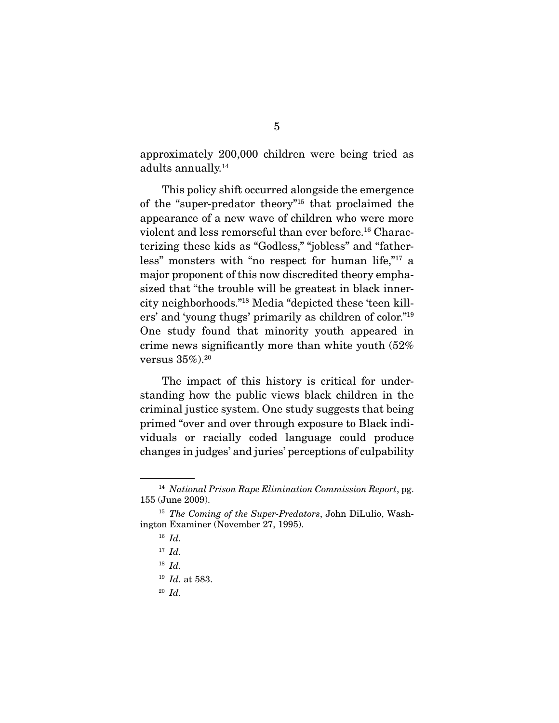approximately 200,000 children were being tried as adults annually.14

 This policy shift occurred alongside the emergence of the "super-predator theory"15 that proclaimed the appearance of a new wave of children who were more violent and less remorseful than ever before.<sup>16</sup> Characterizing these kids as "Godless," "jobless" and "fatherless" monsters with "no respect for human life,"17 a major proponent of this now discredited theory emphasized that "the trouble will be greatest in black innercity neighborhoods."18 Media "depicted these 'teen killers' and 'young thugs' primarily as children of color."19 One study found that minority youth appeared in crime news significantly more than white youth (52% versus  $35\%$ ).<sup>20</sup>

 The impact of this history is critical for understanding how the public views black children in the criminal justice system. One study suggests that being primed "over and over through exposure to Black individuals or racially coded language could produce changes in judges' and juries' perceptions of culpability

<sup>20</sup> *Id.*

<sup>14</sup> *National Prison Rape Elimination Commission Report*, pg. 155 (June 2009).

<sup>15</sup> *The Coming of the Super-Predators*, John DiLulio, Washington Examiner (November 27, 1995).

<sup>16</sup> *Id.*

<sup>17</sup> *Id.*

<sup>18</sup> *Id.*

<sup>19</sup> *Id.* at 583.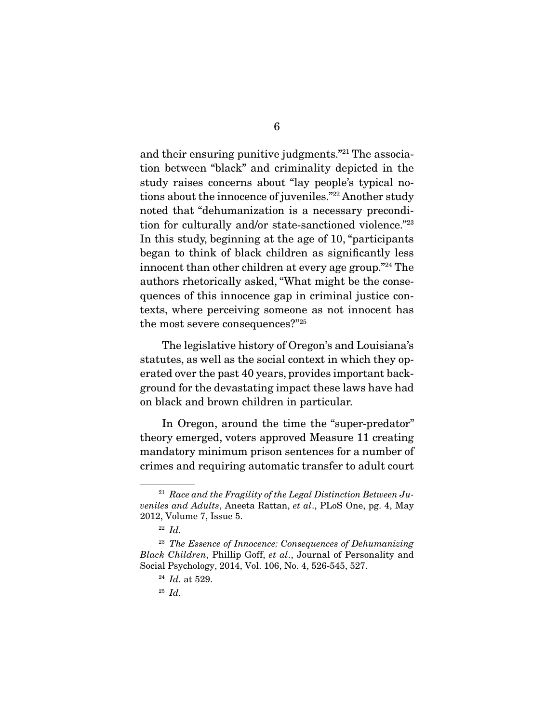and their ensuring punitive judgments."21 The association between "black" and criminality depicted in the study raises concerns about "lay people's typical notions about the innocence of juveniles."22 Another study noted that "dehumanization is a necessary precondition for culturally and/or state-sanctioned violence."23 In this study, beginning at the age of 10, "participants began to think of black children as significantly less innocent than other children at every age group."24 The authors rhetorically asked, "What might be the consequences of this innocence gap in criminal justice contexts, where perceiving someone as not innocent has the most severe consequences?"25

 The legislative history of Oregon's and Louisiana's statutes, as well as the social context in which they operated over the past 40 years, provides important background for the devastating impact these laws have had on black and brown children in particular.

 In Oregon, around the time the "super-predator" theory emerged, voters approved Measure 11 creating mandatory minimum prison sentences for a number of crimes and requiring automatic transfer to adult court

<sup>21</sup> *Race and the Fragility of the Legal Distinction Between Juveniles and Adults*, Aneeta Rattan, *et al*., PLoS One, pg. 4, May 2012, Volume 7, Issue 5.

<sup>22</sup> *Id.*

<sup>23</sup> *The Essence of Innocence: Consequences of Dehumanizing Black Children*, Phillip Goff, *et al*., Journal of Personality and Social Psychology, 2014, Vol. 106, No. 4, 526-545, 527.

<sup>24</sup> *Id.* at 529.

<sup>25</sup> *Id.*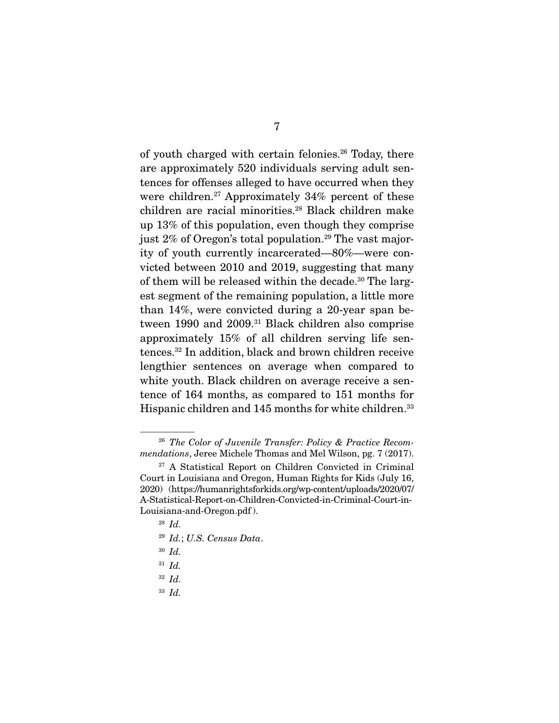of youth charged with certain felonies.<sup>26</sup> Today, there are approximately 520 individuals serving adult sentences for offenses alleged to have occurred when they were children.<sup>27</sup> Approximately  $34\%$  percent of these children are racial minorities.28 Black children make up 13% of this population, even though they comprise just 2% of Oregon's total population.<sup>29</sup> The vast majority of youth currently incarcerated—80%—were convicted between 2010 and 2019, suggesting that many of them will be released within the decade.<sup>30</sup> The largest segment of the remaining population, a little more than 14%, were convicted during a 20-year span between 1990 and 2009.<sup>31</sup> Black children also comprise approximately 15% of all children serving life sentences.32 In addition, black and brown children receive lengthier sentences on average when compared to white youth. Black children on average receive a sentence of 164 months, as compared to 151 months for Hispanic children and 145 months for white children.<sup>33</sup>

- <sup>28</sup> *Id.*
- <sup>29</sup> *Id.*; *U.S. Census Data*.
- <sup>30</sup> *Id.*
- <sup>31</sup> *Id.*
- <sup>32</sup> *Id.*
- <sup>33</sup> *Id.*

<sup>26</sup> *The Color of Juvenile Transfer: Policy & Practice Recommendations*, Jeree Michele Thomas and Mel Wilson, pg. 7 (2017).

<sup>27</sup> A Statistical Report on Children Convicted in Criminal Court in Louisiana and Oregon, Human Rights for Kids (July 16, 2020) (https://humanrightsforkids.org/wp-content/uploads/2020/07/ A-Statistical-Report-on-Children-Convicted-in-Criminal-Court-in-Louisiana-and-Oregon.pdf ).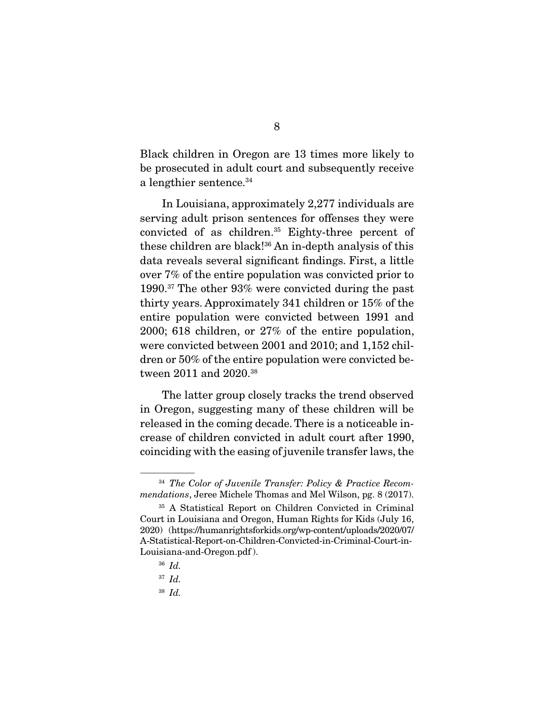Black children in Oregon are 13 times more likely to be prosecuted in adult court and subsequently receive a lengthier sentence.<sup>34</sup>

 In Louisiana, approximately 2,277 individuals are serving adult prison sentences for offenses they were convicted of as children.35 Eighty-three percent of these children are black!36 An in-depth analysis of this data reveals several significant findings. First, a little over 7% of the entire population was convicted prior to 1990.37 The other 93% were convicted during the past thirty years. Approximately 341 children or 15% of the entire population were convicted between 1991 and 2000; 618 children, or 27% of the entire population, were convicted between 2001 and 2010; and 1,152 children or 50% of the entire population were convicted between 2011 and 2020.38

 The latter group closely tracks the trend observed in Oregon, suggesting many of these children will be released in the coming decade. There is a noticeable increase of children convicted in adult court after 1990, coinciding with the easing of juvenile transfer laws, the

<sup>36</sup> *Id.*

<sup>38</sup> *Id.*

<sup>34</sup> *The Color of Juvenile Transfer: Policy & Practice Recommendations*, Jeree Michele Thomas and Mel Wilson, pg. 8 (2017).

<sup>35</sup> A Statistical Report on Children Convicted in Criminal Court in Louisiana and Oregon, Human Rights for Kids (July 16, 2020) (https://humanrightsforkids.org/wp-content/uploads/2020/07/ A-Statistical-Report-on-Children-Convicted-in-Criminal-Court-in-Louisiana-and-Oregon.pdf ).

<sup>37</sup> *Id.*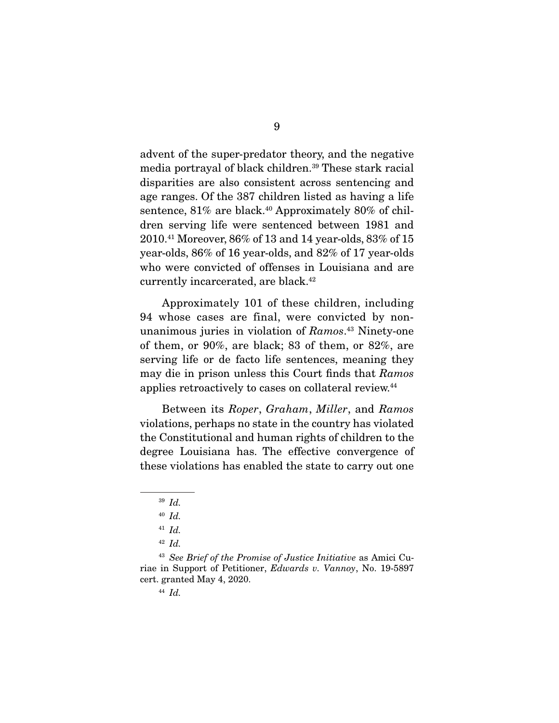advent of the super-predator theory, and the negative media portrayal of black children.39 These stark racial disparities are also consistent across sentencing and age ranges. Of the 387 children listed as having a life sentence, 81% are black.<sup>40</sup> Approximately 80% of children serving life were sentenced between 1981 and 2010.41 Moreover, 86% of 13 and 14 year-olds, 83% of 15 year-olds, 86% of 16 year-olds, and 82% of 17 year-olds who were convicted of offenses in Louisiana and are currently incarcerated, are black.<sup>42</sup>

 Approximately 101 of these children, including 94 whose cases are final, were convicted by nonunanimous juries in violation of *Ramos*. 43 Ninety-one of them, or 90%, are black; 83 of them, or 82%, are serving life or de facto life sentences, meaning they may die in prison unless this Court finds that *Ramos* applies retroactively to cases on collateral review.44

 Between its *Roper*, *Graham*, *Miller*, and *Ramos* violations, perhaps no state in the country has violated the Constitutional and human rights of children to the degree Louisiana has. The effective convergence of these violations has enabled the state to carry out one

<sup>39</sup> *Id.*

<sup>40</sup> *Id.*

<sup>41</sup> *Id.*

<sup>42</sup> *Id.*

<sup>43</sup> *See Brief of the Promise of Justice Initiative* as Amici Curiae in Support of Petitioner, *Edwards v. Vannoy*, No. 19-5897 cert. granted May 4, 2020.

<sup>44</sup> *Id.*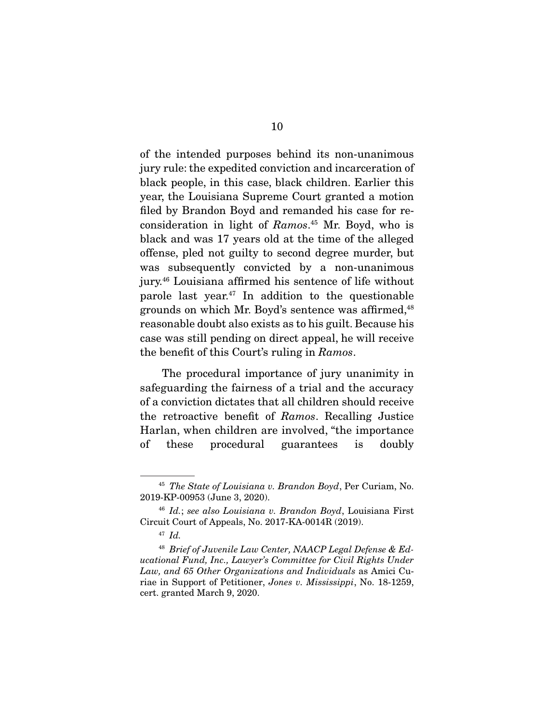of the intended purposes behind its non-unanimous jury rule: the expedited conviction and incarceration of black people, in this case, black children. Earlier this year, the Louisiana Supreme Court granted a motion filed by Brandon Boyd and remanded his case for reconsideration in light of *Ramos*. 45 Mr. Boyd, who is black and was 17 years old at the time of the alleged offense, pled not guilty to second degree murder, but was subsequently convicted by a non-unanimous jury.46 Louisiana affirmed his sentence of life without parole last year. $47$  In addition to the questionable grounds on which Mr. Boyd's sentence was affirmed,<sup>48</sup> reasonable doubt also exists as to his guilt. Because his case was still pending on direct appeal, he will receive the benefit of this Court's ruling in *Ramos*.

 The procedural importance of jury unanimity in safeguarding the fairness of a trial and the accuracy of a conviction dictates that all children should receive the retroactive benefit of *Ramos*. Recalling Justice Harlan, when children are involved, "the importance of these procedural guarantees is doubly

<sup>45</sup> *The State of Louisiana v. Brandon Boyd*, Per Curiam, No. 2019-KP-00953 (June 3, 2020).

<sup>46</sup> *Id.*; *see also Louisiana v. Brandon Boyd*, Louisiana First Circuit Court of Appeals, No. 2017-KA-0014R (2019).

<sup>47</sup> *Id.*

<sup>48</sup> *Brief of Juvenile Law Center, NAACP Legal Defense & Educational Fund, Inc., Lawyer's Committee for Civil Rights Under Law, and 65 Other Organizations and Individuals* as Amici Curiae in Support of Petitioner, *Jones v. Mississippi*, No. 18-1259, cert. granted March 9, 2020.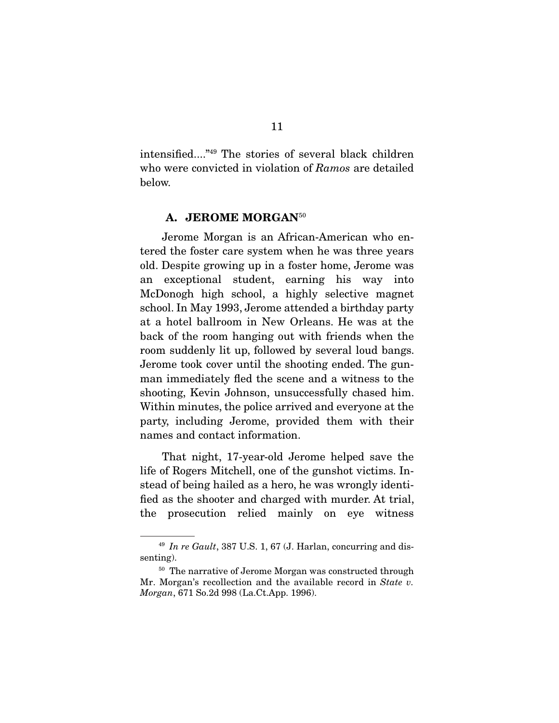intensified...."49 The stories of several black children who were convicted in violation of *Ramos* are detailed below.

#### A. JEROME MORGAN<sup>50</sup>

 Jerome Morgan is an African-American who entered the foster care system when he was three years old. Despite growing up in a foster home, Jerome was an exceptional student, earning his way into McDonogh high school, a highly selective magnet school. In May 1993, Jerome attended a birthday party at a hotel ballroom in New Orleans. He was at the back of the room hanging out with friends when the room suddenly lit up, followed by several loud bangs. Jerome took cover until the shooting ended. The gunman immediately fled the scene and a witness to the shooting, Kevin Johnson, unsuccessfully chased him. Within minutes, the police arrived and everyone at the party, including Jerome, provided them with their names and contact information.

 That night, 17-year-old Jerome helped save the life of Rogers Mitchell, one of the gunshot victims. Instead of being hailed as a hero, he was wrongly identified as the shooter and charged with murder. At trial, the prosecution relied mainly on eye witness

<sup>49</sup> *In re Gault*, 387 U.S. 1, 67 (J. Harlan, concurring and dissenting).

<sup>&</sup>lt;sup>50</sup> The narrative of Jerome Morgan was constructed through Mr. Morgan's recollection and the available record in *State v. Morgan*, 671 So.2d 998 (La.Ct.App. 1996).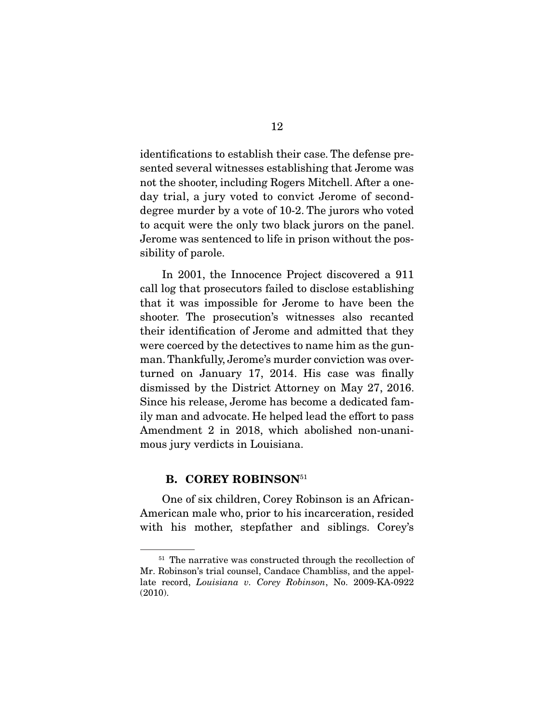identifications to establish their case. The defense presented several witnesses establishing that Jerome was not the shooter, including Rogers Mitchell. After a oneday trial, a jury voted to convict Jerome of seconddegree murder by a vote of 10-2. The jurors who voted to acquit were the only two black jurors on the panel. Jerome was sentenced to life in prison without the possibility of parole.

 In 2001, the Innocence Project discovered a 911 call log that prosecutors failed to disclose establishing that it was impossible for Jerome to have been the shooter. The prosecution's witnesses also recanted their identification of Jerome and admitted that they were coerced by the detectives to name him as the gunman. Thankfully, Jerome's murder conviction was overturned on January 17, 2014. His case was finally dismissed by the District Attorney on May 27, 2016. Since his release, Jerome has become a dedicated family man and advocate. He helped lead the effort to pass Amendment 2 in 2018, which abolished non-unanimous jury verdicts in Louisiana.

#### B. COREY ROBINSON<sup>51</sup>

 One of six children, Corey Robinson is an African-American male who, prior to his incarceration, resided with his mother, stepfather and siblings. Corey's

<sup>&</sup>lt;sup>51</sup> The narrative was constructed through the recollection of Mr. Robinson's trial counsel, Candace Chambliss, and the appellate record, *Louisiana v. Corey Robinson*, No. 2009-KA-0922 (2010).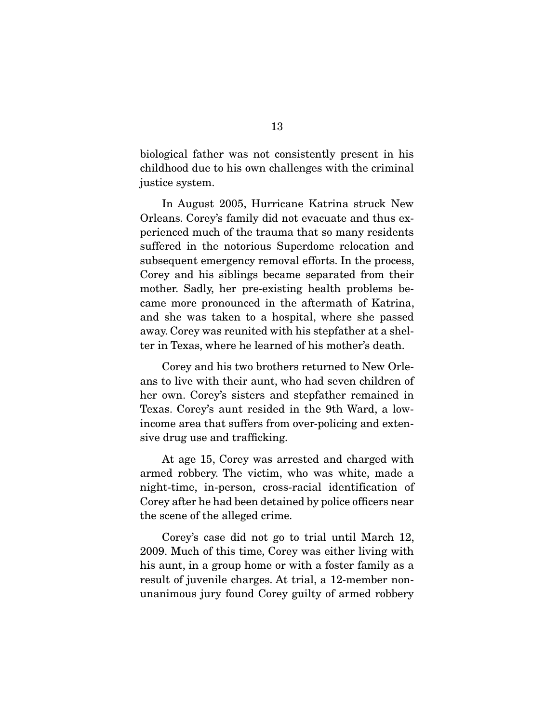biological father was not consistently present in his childhood due to his own challenges with the criminal justice system.

 In August 2005, Hurricane Katrina struck New Orleans. Corey's family did not evacuate and thus experienced much of the trauma that so many residents suffered in the notorious Superdome relocation and subsequent emergency removal efforts. In the process, Corey and his siblings became separated from their mother. Sadly, her pre-existing health problems became more pronounced in the aftermath of Katrina, and she was taken to a hospital, where she passed away. Corey was reunited with his stepfather at a shelter in Texas, where he learned of his mother's death.

 Corey and his two brothers returned to New Orleans to live with their aunt, who had seven children of her own. Corey's sisters and stepfather remained in Texas. Corey's aunt resided in the 9th Ward, a lowincome area that suffers from over-policing and extensive drug use and trafficking.

 At age 15, Corey was arrested and charged with armed robbery. The victim, who was white, made a night-time, in-person, cross-racial identification of Corey after he had been detained by police officers near the scene of the alleged crime.

 Corey's case did not go to trial until March 12, 2009. Much of this time, Corey was either living with his aunt, in a group home or with a foster family as a result of juvenile charges. At trial, a 12-member nonunanimous jury found Corey guilty of armed robbery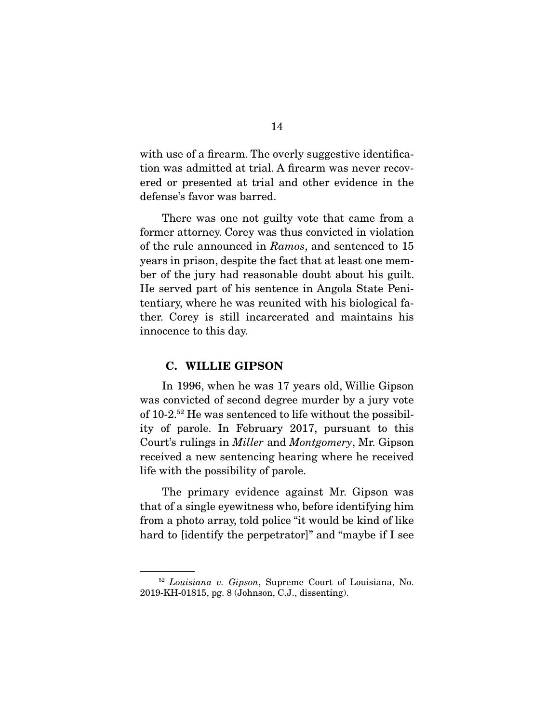with use of a firearm. The overly suggestive identification was admitted at trial. A firearm was never recovered or presented at trial and other evidence in the defense's favor was barred.

 There was one not guilty vote that came from a former attorney. Corey was thus convicted in violation of the rule announced in *Ramos*, and sentenced to 15 years in prison, despite the fact that at least one member of the jury had reasonable doubt about his guilt. He served part of his sentence in Angola State Penitentiary, where he was reunited with his biological father. Corey is still incarcerated and maintains his innocence to this day.

#### C. WILLIE GIPSON

 In 1996, when he was 17 years old, Willie Gipson was convicted of second degree murder by a jury vote of 10-2.52 He was sentenced to life without the possibility of parole. In February 2017, pursuant to this Court's rulings in *Miller* and *Montgomery*, Mr. Gipson received a new sentencing hearing where he received life with the possibility of parole.

 The primary evidence against Mr. Gipson was that of a single eyewitness who, before identifying him from a photo array, told police "it would be kind of like hard to [identify the perpetrator]" and "maybe if I see

<sup>52</sup> *Louisiana v. Gipson*, Supreme Court of Louisiana, No. 2019-KH-01815, pg. 8 (Johnson, C.J., dissenting).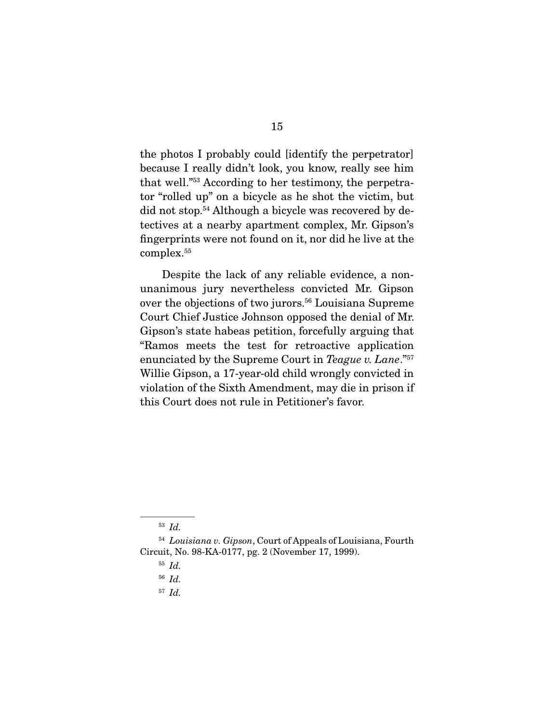the photos I probably could [identify the perpetrator] because I really didn't look, you know, really see him that well."53 According to her testimony, the perpetrator "rolled up" on a bicycle as he shot the victim, but did not stop.54 Although a bicycle was recovered by detectives at a nearby apartment complex, Mr. Gipson's fingerprints were not found on it, nor did he live at the complex.55

 Despite the lack of any reliable evidence, a nonunanimous jury nevertheless convicted Mr. Gipson over the objections of two jurors.<sup>56</sup> Louisiana Supreme Court Chief Justice Johnson opposed the denial of Mr. Gipson's state habeas petition, forcefully arguing that "Ramos meets the test for retroactive application enunciated by the Supreme Court in *Teague v. Lane*."57 Willie Gipson, a 17-year-old child wrongly convicted in violation of the Sixth Amendment, may die in prison if this Court does not rule in Petitioner's favor.

<sup>57</sup> *Id.*

<sup>53</sup> *Id.*

<sup>54</sup> *Louisiana v. Gipson*, Court of Appeals of Louisiana, Fourth Circuit, No. 98-KA-0177, pg. 2 (November 17, 1999).

<sup>55</sup> *Id.*

<sup>56</sup> *Id.*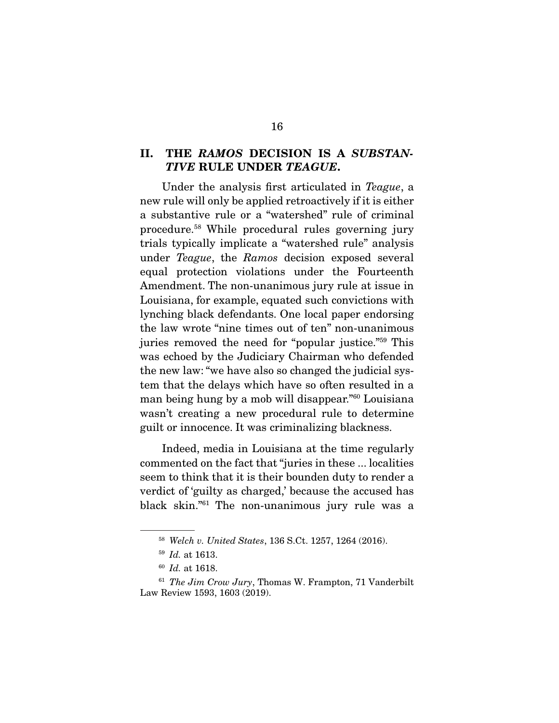#### II. THE *RAMOS* DECISION IS A *SUBSTAN-TIVE* RULE UNDER *TEAGUE*.

 Under the analysis first articulated in *Teague*, a new rule will only be applied retroactively if it is either a substantive rule or a "watershed" rule of criminal procedure.58 While procedural rules governing jury trials typically implicate a "watershed rule" analysis under *Teague*, the *Ramos* decision exposed several equal protection violations under the Fourteenth Amendment. The non-unanimous jury rule at issue in Louisiana, for example, equated such convictions with lynching black defendants. One local paper endorsing the law wrote "nine times out of ten" non-unanimous juries removed the need for "popular justice."59 This was echoed by the Judiciary Chairman who defended the new law: "we have also so changed the judicial system that the delays which have so often resulted in a man being hung by a mob will disappear."60 Louisiana wasn't creating a new procedural rule to determine guilt or innocence. It was criminalizing blackness.

 Indeed, media in Louisiana at the time regularly commented on the fact that "juries in these ... localities seem to think that it is their bounden duty to render a verdict of 'guilty as charged,' because the accused has black skin."61 The non-unanimous jury rule was a

<sup>58</sup> *Welch v. United States*, 136 S.Ct. 1257, 1264 (2016).

<sup>59</sup> *Id.* at 1613.

<sup>60</sup> *Id.* at 1618.

<sup>61</sup> *The Jim Crow Jury*, Thomas W. Frampton, 71 Vanderbilt Law Review 1593, 1603 (2019).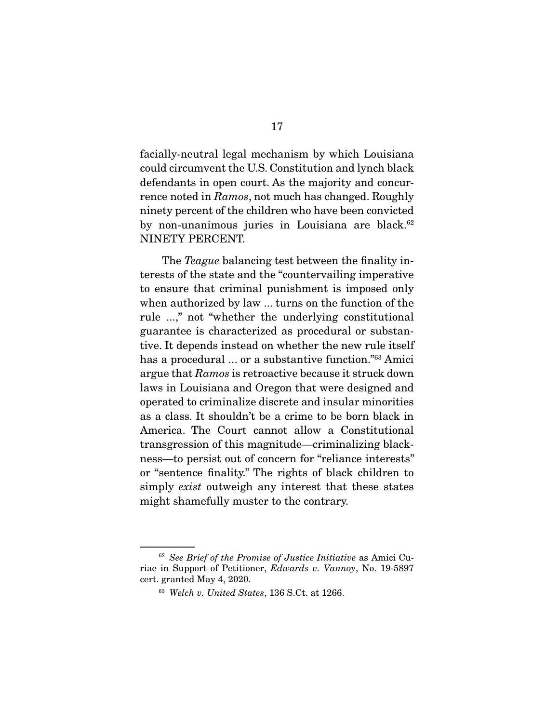facially-neutral legal mechanism by which Louisiana could circumvent the U.S. Constitution and lynch black defendants in open court. As the majority and concurrence noted in *Ramos*, not much has changed. Roughly ninety percent of the children who have been convicted by non-unanimous juries in Louisiana are black.<sup>62</sup> NINETY PERCENT.

 The *Teague* balancing test between the finality interests of the state and the "countervailing imperative to ensure that criminal punishment is imposed only when authorized by law ... turns on the function of the rule ...," not "whether the underlying constitutional guarantee is characterized as procedural or substantive. It depends instead on whether the new rule itself has a procedural ... or a substantive function."<sup>63</sup> Amici argue that *Ramos* is retroactive because it struck down laws in Louisiana and Oregon that were designed and operated to criminalize discrete and insular minorities as a class. It shouldn't be a crime to be born black in America. The Court cannot allow a Constitutional transgression of this magnitude—criminalizing blackness—to persist out of concern for "reliance interests" or "sentence finality." The rights of black children to simply *exist* outweigh any interest that these states might shamefully muster to the contrary.

<sup>62</sup> *See Brief of the Promise of Justice Initiative* as Amici Curiae in Support of Petitioner, *Edwards v. Vannoy*, No. 19-5897 cert. granted May 4, 2020.

<sup>63</sup> *Welch v. United States*, 136 S.Ct. at 1266.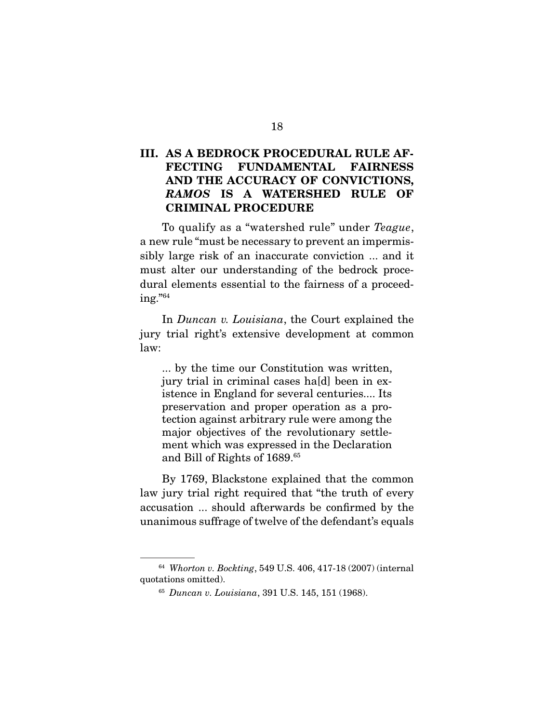### III. AS A BEDROCK PROCEDURAL RULE AF-FECTING FUNDAMENTAL FAIRNESS AND THE ACCURACY OF CONVICTIONS, *RAMOS* IS A WATERSHED RULE OF CRIMINAL PROCEDURE

 To qualify as a "watershed rule" under *Teague*, a new rule "must be necessary to prevent an impermissibly large risk of an inaccurate conviction ... and it must alter our understanding of the bedrock procedural elements essential to the fairness of a proceeding."64

 In *Duncan v. Louisiana*, the Court explained the jury trial right's extensive development at common law:

... by the time our Constitution was written, jury trial in criminal cases ha[d] been in existence in England for several centuries.... Its preservation and proper operation as a protection against arbitrary rule were among the major objectives of the revolutionary settlement which was expressed in the Declaration and Bill of Rights of 1689.65

 By 1769, Blackstone explained that the common law jury trial right required that "the truth of every accusation ... should afterwards be confirmed by the unanimous suffrage of twelve of the defendant's equals

<sup>64</sup> *Whorton v. Bockting*, 549 U.S. 406, 417-18 (2007) (internal quotations omitted).

<sup>65</sup> *Duncan v. Louisiana*, 391 U.S. 145, 151 (1968).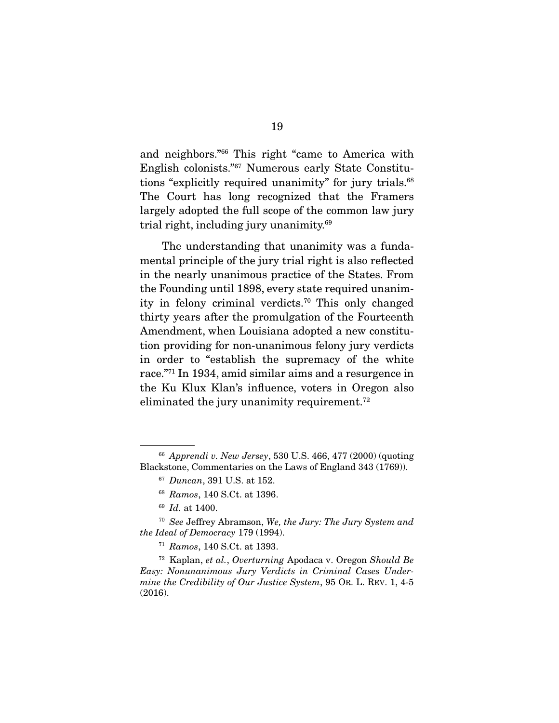and neighbors."66 This right "came to America with English colonists."67 Numerous early State Constitutions "explicitly required unanimity" for jury trials.<sup>68</sup> The Court has long recognized that the Framers largely adopted the full scope of the common law jury trial right, including jury unanimity.69

 The understanding that unanimity was a fundamental principle of the jury trial right is also reflected in the nearly unanimous practice of the States. From the Founding until 1898, every state required unanimity in felony criminal verdicts.70 This only changed thirty years after the promulgation of the Fourteenth Amendment, when Louisiana adopted a new constitution providing for non-unanimous felony jury verdicts in order to "establish the supremacy of the white race."71 In 1934, amid similar aims and a resurgence in the Ku Klux Klan's influence, voters in Oregon also eliminated the jury unanimity requirement.<sup>72</sup>

<sup>66</sup> *Apprendi v. New Jersey*, 530 U.S. 466, 477 (2000) (quoting Blackstone, Commentaries on the Laws of England 343 (1769)).

<sup>67</sup> *Duncan*, 391 U.S. at 152.

<sup>68</sup> *Ramos*, 140 S.Ct. at 1396.

<sup>69</sup> *Id.* at 1400.

<sup>70</sup> *See* Jeffrey Abramson, *We, the Jury: The Jury System and the Ideal of Democracy* 179 (1994).

<sup>71</sup> *Ramos*, 140 S.Ct. at 1393.

<sup>72</sup> Kaplan, *et al.*, *Overturning* Apodaca v. Oregon *Should Be Easy: Nonunanimous Jury Verdicts in Criminal Cases Undermine the Credibility of Our Justice System*, 95 OR. L. REV. 1, 4-5 (2016).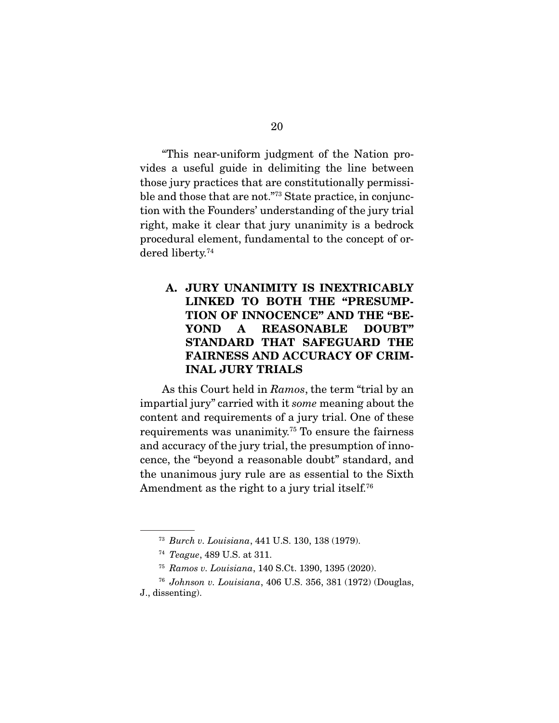"This near-uniform judgment of the Nation provides a useful guide in delimiting the line between those jury practices that are constitutionally permissible and those that are not."73 State practice, in conjunction with the Founders' understanding of the jury trial right, make it clear that jury unanimity is a bedrock procedural element, fundamental to the concept of ordered liberty.74

### A. JURY UNANIMITY IS INEXTRICABLY LINKED TO BOTH THE "PRESUMP-TION OF INNOCENCE" AND THE "BE-YOND A REASONABLE DOUBT" STANDARD THAT SAFEGUARD THE FAIRNESS AND ACCURACY OF CRIM-INAL JURY TRIALS

 As this Court held in *Ramos*, the term "trial by an impartial jury" carried with it *some* meaning about the content and requirements of a jury trial. One of these requirements was unanimity.75 To ensure the fairness and accuracy of the jury trial, the presumption of innocence, the "beyond a reasonable doubt" standard, and the unanimous jury rule are as essential to the Sixth Amendment as the right to a jury trial itself.<sup>76</sup>

<sup>73</sup> *Burch v. Louisiana*, 441 U.S. 130, 138 (1979).

<sup>74</sup> *Teague*, 489 U.S. at 311.

<sup>75</sup> *Ramos v. Louisiana*, 140 S.Ct. 1390, 1395 (2020).

<sup>76</sup> *Johnson v. Louisiana*, 406 U.S. 356, 381 (1972) (Douglas,

J., dissenting).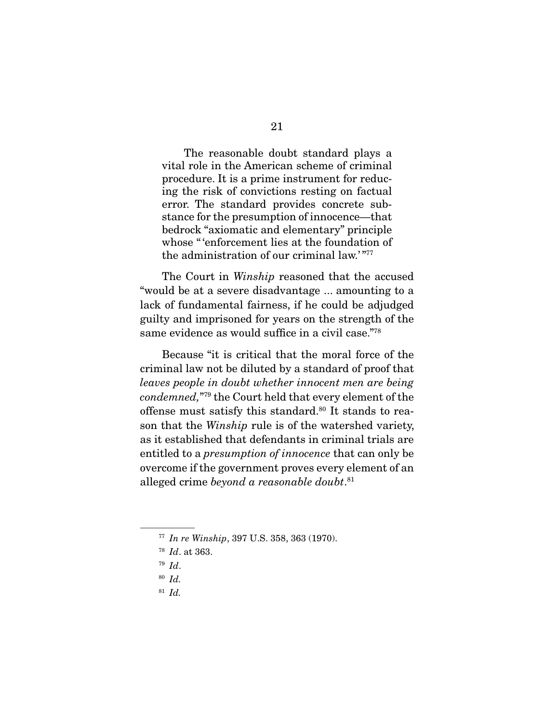The reasonable doubt standard plays a vital role in the American scheme of criminal procedure. It is a prime instrument for reducing the risk of convictions resting on factual error. The standard provides concrete substance for the presumption of innocence—that bedrock "axiomatic and elementary" principle whose " 'enforcement lies at the foundation of the administration of our criminal law.'"77

 The Court in *Winship* reasoned that the accused "would be at a severe disadvantage ... amounting to a lack of fundamental fairness, if he could be adjudged guilty and imprisoned for years on the strength of the same evidence as would suffice in a civil case."78

 Because "it is critical that the moral force of the criminal law not be diluted by a standard of proof that *leaves people in doubt whether innocent men are being condemned,*"79 the Court held that every element of the offense must satisfy this standard.<sup>80</sup> It stands to reason that the *Winship* rule is of the watershed variety, as it established that defendants in criminal trials are entitled to a *presumption of innocence* that can only be overcome if the government proves every element of an alleged crime *beyond a reasonable doubt*. 81

- <sup>79</sup> *Id*.
- <sup>80</sup> *Id.*
- <sup>81</sup> *Id.*

<sup>77</sup> *In re Winship*, 397 U.S. 358, 363 (1970).

<sup>78</sup> *Id*. at 363.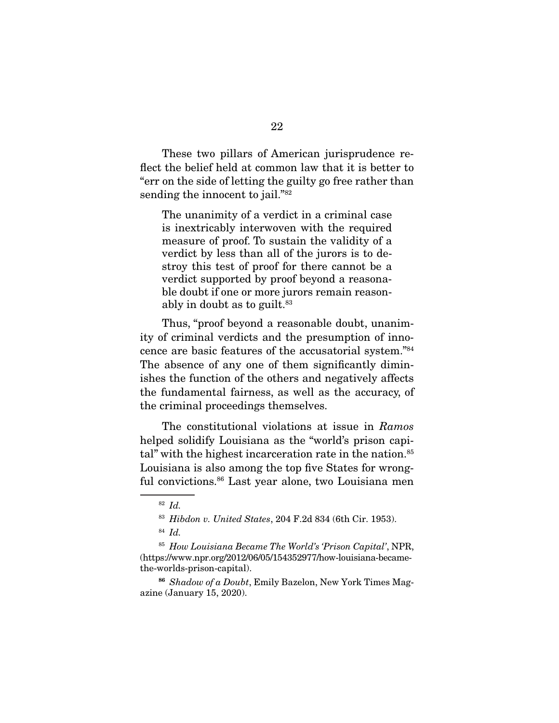These two pillars of American jurisprudence reflect the belief held at common law that it is better to "err on the side of letting the guilty go free rather than sending the innocent to jail."<sup>82</sup>

The unanimity of a verdict in a criminal case is inextricably interwoven with the required measure of proof. To sustain the validity of a verdict by less than all of the jurors is to destroy this test of proof for there cannot be a verdict supported by proof beyond a reasonable doubt if one or more jurors remain reasonably in doubt as to guilt.  $83$ 

 Thus, "proof beyond a reasonable doubt, unanimity of criminal verdicts and the presumption of innocence are basic features of the accusatorial system."84 The absence of any one of them significantly diminishes the function of the others and negatively affects the fundamental fairness, as well as the accuracy, of the criminal proceedings themselves.

 The constitutional violations at issue in *Ramos* helped solidify Louisiana as the "world's prison capital" with the highest incarceration rate in the nation.<sup>85</sup> Louisiana is also among the top five States for wrongful convictions.86 Last year alone, two Louisiana men

<sup>82</sup> *Id.*

<sup>83</sup> *Hibdon v. United States*, 204 F.2d 834 (6th Cir. 1953).

<sup>84</sup> *Id.*

<sup>85</sup> *How Louisiana Became The World's 'Prison Capital'*, NPR, (https://www.npr.org/2012/06/05/154352977/how-louisiana-becamethe-worlds-prison-capital).

<sup>86</sup> *Shadow of a Doubt*, Emily Bazelon, New York Times Magazine (January 15, 2020).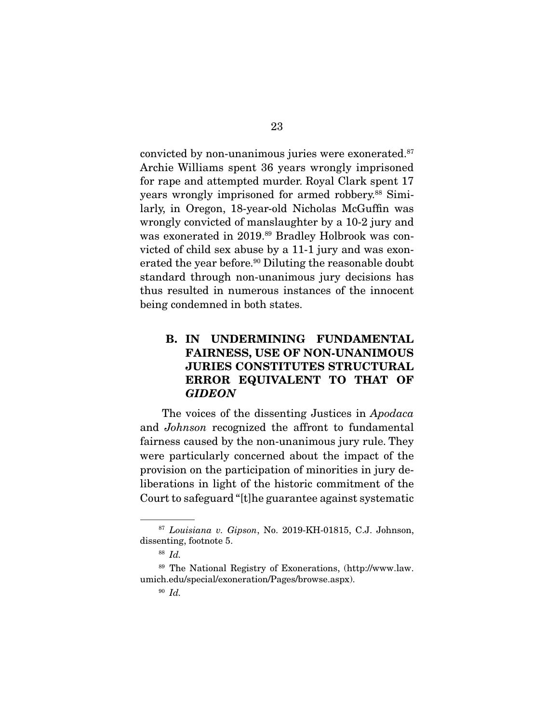convicted by non-unanimous juries were exonerated.<sup>87</sup> Archie Williams spent 36 years wrongly imprisoned for rape and attempted murder. Royal Clark spent 17 years wrongly imprisoned for armed robbery.<sup>88</sup> Similarly, in Oregon, 18-year-old Nicholas McGuffin was wrongly convicted of manslaughter by a 10-2 jury and was exonerated in 2019.<sup>89</sup> Bradley Holbrook was convicted of child sex abuse by a 11-1 jury and was exonerated the year before.<sup>90</sup> Diluting the reasonable doubt standard through non-unanimous jury decisions has thus resulted in numerous instances of the innocent being condemned in both states.

### B. IN UNDERMINING FUNDAMENTAL FAIRNESS, USE OF NON-UNANIMOUS JURIES CONSTITUTES STRUCTURAL ERROR EQUIVALENT TO THAT OF *GIDEON*

 The voices of the dissenting Justices in *Apodaca* and *Johnson* recognized the affront to fundamental fairness caused by the non-unanimous jury rule. They were particularly concerned about the impact of the provision on the participation of minorities in jury deliberations in light of the historic commitment of the Court to safeguard "[t]he guarantee against systematic

<sup>87</sup> *Louisiana v. Gipson*, No. 2019-KH-01815, C.J. Johnson, dissenting, footnote 5.

<sup>88</sup> *Id.*

<sup>89</sup> The National Registry of Exonerations, (http://www.law. umich.edu/special/exoneration/Pages/browse.aspx).

<sup>90</sup> *Id.*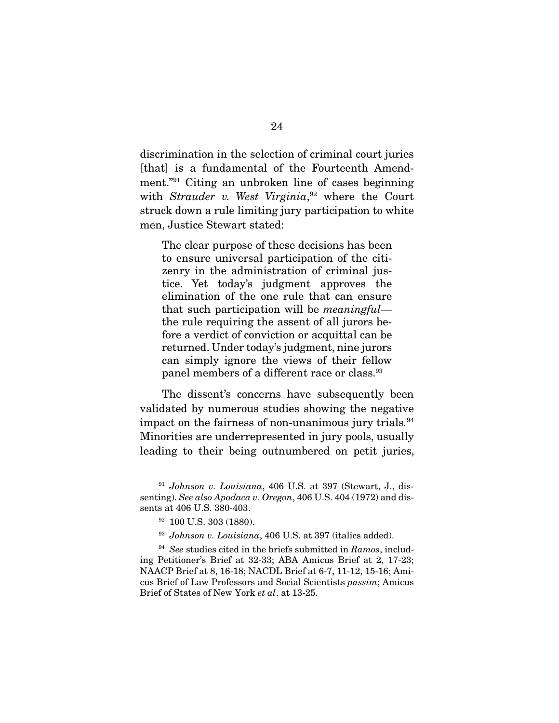discrimination in the selection of criminal court juries [that] is a fundamental of the Fourteenth Amendment."91 Citing an unbroken line of cases beginning with *Strauder v. West Virginia*, 92 where the Court struck down a rule limiting jury participation to white men, Justice Stewart stated:

The clear purpose of these decisions has been to ensure universal participation of the citizenry in the administration of criminal justice. Yet today's judgment approves the elimination of the one rule that can ensure that such participation will be *meaningful* the rule requiring the assent of all jurors before a verdict of conviction or acquittal can be returned. Under today's judgment, nine jurors can simply ignore the views of their fellow panel members of a different race or class.<sup>93</sup>

 The dissent's concerns have subsequently been validated by numerous studies showing the negative impact on the fairness of non-unanimous jury trials*.* 94 Minorities are underrepresented in jury pools, usually leading to their being outnumbered on petit juries,

<sup>91</sup> *Johnson v. Louisiana*, 406 U.S. at 397 (Stewart, J., dissenting). *See also Apodaca v. Oregon*, 406 U.S. 404 (1972) and dissents at 406 U.S. 380-403.

<sup>92 100</sup> U.S. 303 (1880).

<sup>93</sup> *Johnson v. Louisiana*, 406 U.S. at 397 (italics added).

<sup>94</sup> *See* studies cited in the briefs submitted in *Ramos*, including Petitioner's Brief at 32-33; ABA Amicus Brief at 2, 17-23; NAACP Brief at 8, 16-18; NACDL Brief at 6-7, 11-12, 15-16; Amicus Brief of Law Professors and Social Scientists *passim*; Amicus Brief of States of New York *et al*. at 13-25.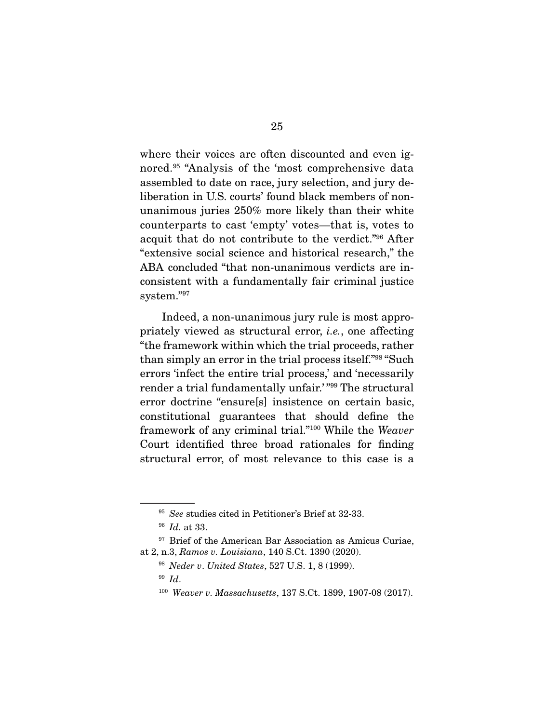where their voices are often discounted and even ignored.95 "Analysis of the 'most comprehensive data assembled to date on race, jury selection, and jury deliberation in U.S. courts' found black members of nonunanimous juries 250% more likely than their white counterparts to cast 'empty' votes—that is, votes to acquit that do not contribute to the verdict."96 After "extensive social science and historical research," the ABA concluded "that non-unanimous verdicts are inconsistent with a fundamentally fair criminal justice system."97

 Indeed, a non-unanimous jury rule is most appropriately viewed as structural error, *i.e.*, one affecting "the framework within which the trial proceeds, rather than simply an error in the trial process itself."98 "Such errors 'infect the entire trial process,' and 'necessarily render a trial fundamentally unfair.' "99 The structural error doctrine "ensure[s] insistence on certain basic, constitutional guarantees that should define the framework of any criminal trial."100 While the *Weaver* Court identified three broad rationales for finding structural error, of most relevance to this case is a

<sup>95</sup> *See* studies cited in Petitioner's Brief at 32-33.

<sup>96</sup> *Id.* at 33.

<sup>&</sup>lt;sup>97</sup> Brief of the American Bar Association as Amicus Curiae, at 2, n.3, *Ramos v. Louisiana*, 140 S.Ct. 1390 (2020).

<sup>98</sup> *Neder v*. *United States*, 527 U.S. 1, 8 (1999).

<sup>99</sup> *Id*.

<sup>100</sup> *Weaver v. Massachusetts*, 137 S.Ct. 1899, 1907-08 (2017).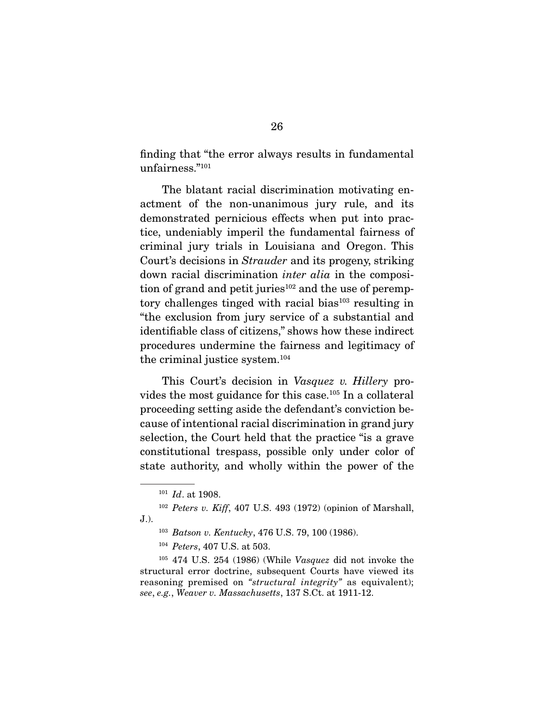finding that "the error always results in fundamental unfairness."101

 The blatant racial discrimination motivating enactment of the non-unanimous jury rule, and its demonstrated pernicious effects when put into practice, undeniably imperil the fundamental fairness of criminal jury trials in Louisiana and Oregon. This Court's decisions in *Strauder* and its progeny, striking down racial discrimination *inter alia* in the composition of grand and petit juries<sup>102</sup> and the use of peremptory challenges tinged with racial bias<sup>103</sup> resulting in "the exclusion from jury service of a substantial and identifiable class of citizens," shows how these indirect procedures undermine the fairness and legitimacy of the criminal justice system.104

 This Court's decision in *Vasquez v. Hillery* provides the most guidance for this case.105 In a collateral proceeding setting aside the defendant's conviction because of intentional racial discrimination in grand jury selection, the Court held that the practice "is a grave constitutional trespass, possible only under color of state authority, and wholly within the power of the

<sup>101</sup> *Id*. at 1908.

<sup>102</sup> *Peters v. Kiff*, 407 U.S. 493 (1972) (opinion of Marshall, J.).

<sup>103</sup> *Batson v. Kentucky*, 476 U.S. 79, 100 (1986).

<sup>104</sup> *Peters*, 407 U.S. at 503.

<sup>105</sup> 474 U.S. 254 (1986) (While *Vasquez* did not invoke the structural error doctrine, subsequent Courts have viewed its reasoning premised on *"structural integrity"* as equivalent); *see*, *e.g.*, *Weaver v. Massachusetts*, 137 S.Ct. at 1911-12.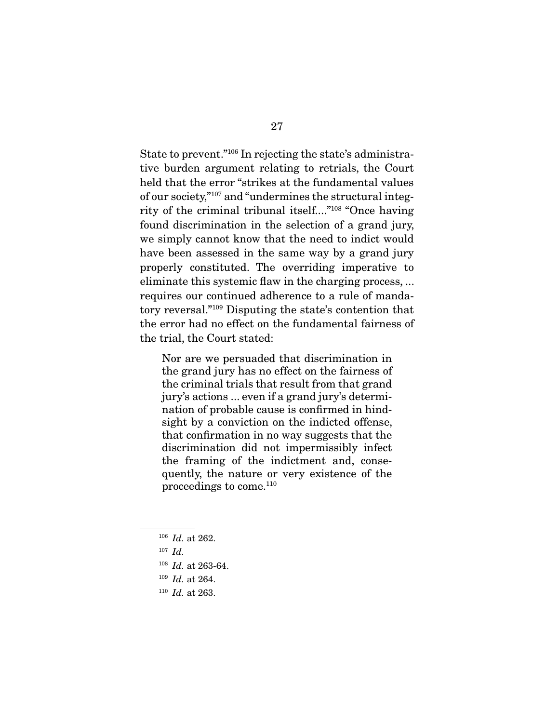State to prevent."106 In rejecting the state's administrative burden argument relating to retrials, the Court held that the error "strikes at the fundamental values of our society,"107 and "undermines the structural integrity of the criminal tribunal itself...."108 "Once having found discrimination in the selection of a grand jury, we simply cannot know that the need to indict would have been assessed in the same way by a grand jury properly constituted. The overriding imperative to eliminate this systemic flaw in the charging process, ... requires our continued adherence to a rule of mandatory reversal."109 Disputing the state's contention that the error had no effect on the fundamental fairness of the trial, the Court stated:

Nor are we persuaded that discrimination in the grand jury has no effect on the fairness of the criminal trials that result from that grand jury's actions ... even if a grand jury's determination of probable cause is confirmed in hindsight by a conviction on the indicted offense, that confirmation in no way suggests that the discrimination did not impermissibly infect the framing of the indictment and, consequently, the nature or very existence of the proceedings to come.110

- <sup>106</sup> *Id.* at 262.
- <sup>107</sup> *Id.*
- <sup>108</sup> *Id.* at 263-64.
- <sup>109</sup> *Id.* at 264.
- <sup>110</sup> *Id.* at 263.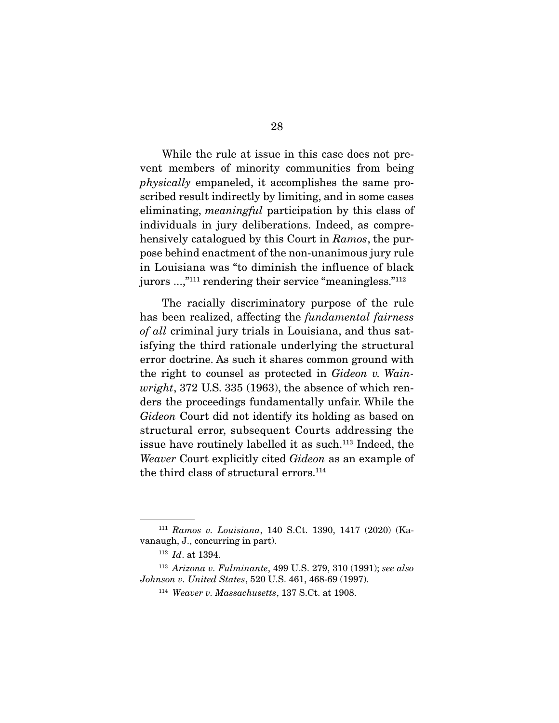While the rule at issue in this case does not prevent members of minority communities from being *physically* empaneled, it accomplishes the same proscribed result indirectly by limiting, and in some cases eliminating, *meaningful* participation by this class of individuals in jury deliberations. Indeed, as comprehensively catalogued by this Court in *Ramos*, the purpose behind enactment of the non-unanimous jury rule in Louisiana was "to diminish the influence of black jurors ...,"<sup>111</sup> rendering their service "meaningless."<sup>112</sup>

 The racially discriminatory purpose of the rule has been realized, affecting the *fundamental fairness of all* criminal jury trials in Louisiana, and thus satisfying the third rationale underlying the structural error doctrine. As such it shares common ground with the right to counsel as protected in *Gideon v. Wainwright*, 372 U.S. 335 (1963), the absence of which renders the proceedings fundamentally unfair. While the *Gideon* Court did not identify its holding as based on structural error, subsequent Courts addressing the issue have routinely labelled it as such.<sup>113</sup> Indeed, the *Weaver* Court explicitly cited *Gideon* as an example of the third class of structural errors.<sup>114</sup>

<sup>111</sup> *Ramos v. Louisiana*, 140 S.Ct. 1390, 1417 (2020) (Kavanaugh, J., concurring in part).

<sup>112</sup> *Id*. at 1394.

<sup>113</sup> *Arizona v. Fulminante*, 499 U.S. 279, 310 (1991); *see also Johnson v. United States*, 520 U.S. 461, 468-69 (1997).

<sup>114</sup> *Weaver v. Massachusetts*, 137 S.Ct. at 1908.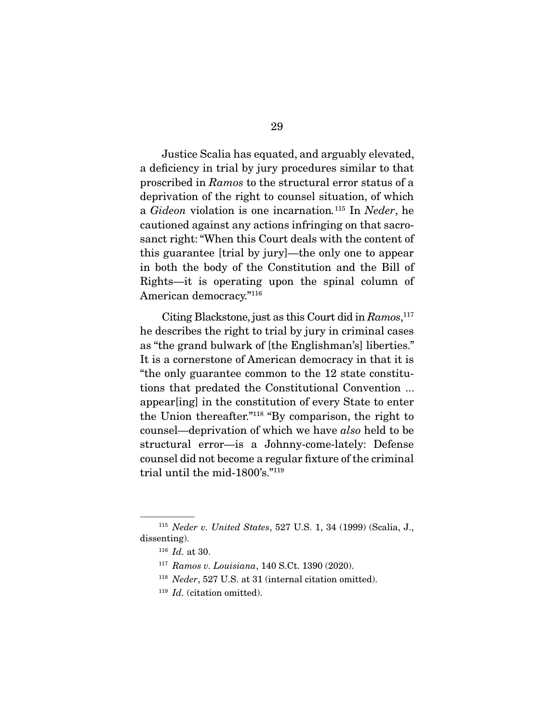Justice Scalia has equated, and arguably elevated, a deficiency in trial by jury procedures similar to that proscribed in *Ramos* to the structural error status of a deprivation of the right to counsel situation, of which a *Gideon* violation is one incarnation*.* <sup>115</sup> In *Neder*, he cautioned against any actions infringing on that sacrosanct right: "When this Court deals with the content of this guarantee [trial by jury]—the only one to appear in both the body of the Constitution and the Bill of Rights—it is operating upon the spinal column of American democracy."116

 Citing Blackstone, just as this Court did in *Ramos*, 117 he describes the right to trial by jury in criminal cases as "the grand bulwark of [the Englishman's] liberties." It is a cornerstone of American democracy in that it is "the only guarantee common to the 12 state constitutions that predated the Constitutional Convention ... appear[ing] in the constitution of every State to enter the Union thereafter."118 "By comparison, the right to counsel—deprivation of which we have *also* held to be structural error—is a Johnny-come-lately: Defense counsel did not become a regular fixture of the criminal trial until the mid-1800's."119

<sup>115</sup> *Neder v. United States*, 527 U.S. 1, 34 (1999) (Scalia, J., dissenting).

<sup>116</sup> *Id.* at 30.

<sup>117</sup> *Ramos v. Louisiana*, 140 S.Ct. 1390 (2020).

<sup>118</sup> *Neder*, 527 U.S. at 31 (internal citation omitted).

<sup>119</sup> *Id.* (citation omitted).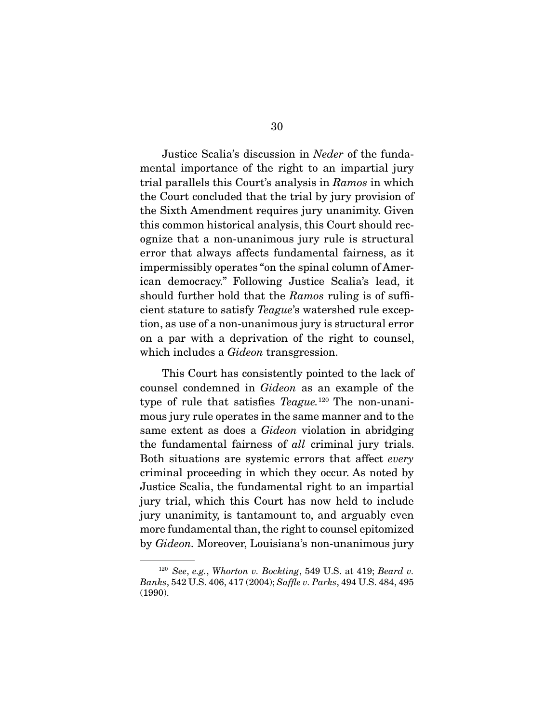Justice Scalia's discussion in *Neder* of the fundamental importance of the right to an impartial jury trial parallels this Court's analysis in *Ramos* in which the Court concluded that the trial by jury provision of the Sixth Amendment requires jury unanimity. Given this common historical analysis, this Court should recognize that a non-unanimous jury rule is structural error that always affects fundamental fairness, as it impermissibly operates "on the spinal column of American democracy." Following Justice Scalia's lead, it should further hold that the *Ramos* ruling is of sufficient stature to satisfy *Teague*'s watershed rule exception, as use of a non-unanimous jury is structural error on a par with a deprivation of the right to counsel, which includes a *Gideon* transgression.

 This Court has consistently pointed to the lack of counsel condemned in *Gideon* as an example of the type of rule that satisfies *Teague.*120 The non-unanimous jury rule operates in the same manner and to the same extent as does a *Gideon* violation in abridging the fundamental fairness of *all* criminal jury trials. Both situations are systemic errors that affect *every*  criminal proceeding in which they occur. As noted by Justice Scalia, the fundamental right to an impartial jury trial, which this Court has now held to include jury unanimity, is tantamount to, and arguably even more fundamental than, the right to counsel epitomized by *Gideon.* Moreover, Louisiana's non-unanimous jury

<sup>120</sup> *See*, *e.g.*, *Whorton v. Bockting*, 549 U.S. at 419; *Beard v. Banks*, 542 U.S. 406, 417 (2004); *Saffle v. Parks*, 494 U.S. 484, 495 (1990).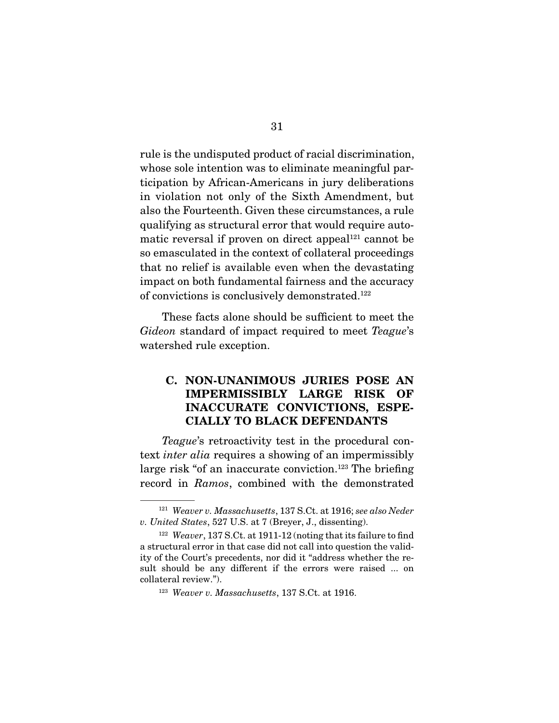rule is the undisputed product of racial discrimination, whose sole intention was to eliminate meaningful participation by African-Americans in jury deliberations in violation not only of the Sixth Amendment, but also the Fourteenth. Given these circumstances, a rule qualifying as structural error that would require automatic reversal if proven on direct appeal $121$  cannot be so emasculated in the context of collateral proceedings that no relief is available even when the devastating impact on both fundamental fairness and the accuracy of convictions is conclusively demonstrated.122

 These facts alone should be sufficient to meet the *Gideon* standard of impact required to meet *Teague*'s watershed rule exception.

### C. NON-UNANIMOUS JURIES POSE AN IMPERMISSIBLY LARGE RISK OF INACCURATE CONVICTIONS, ESPE-CIALLY TO BLACK DEFENDANTS

*Teague*'s retroactivity test in the procedural context *inter alia* requires a showing of an impermissibly large risk "of an inaccurate conviction.<sup>123</sup> The briefing record in *Ramos*, combined with the demonstrated

<sup>121</sup> *Weaver v. Massachusetts*, 137 S.Ct. at 1916; *see also Neder v. United States*, 527 U.S. at 7 (Breyer, J., dissenting).

<sup>122</sup> *Weaver*, 137 S.Ct. at 1911-12 (noting that its failure to find a structural error in that case did not call into question the validity of the Court's precedents, nor did it "address whether the result should be any different if the errors were raised ... on collateral review.").

<sup>123</sup> *Weaver v. Massachusetts*, 137 S.Ct. at 1916.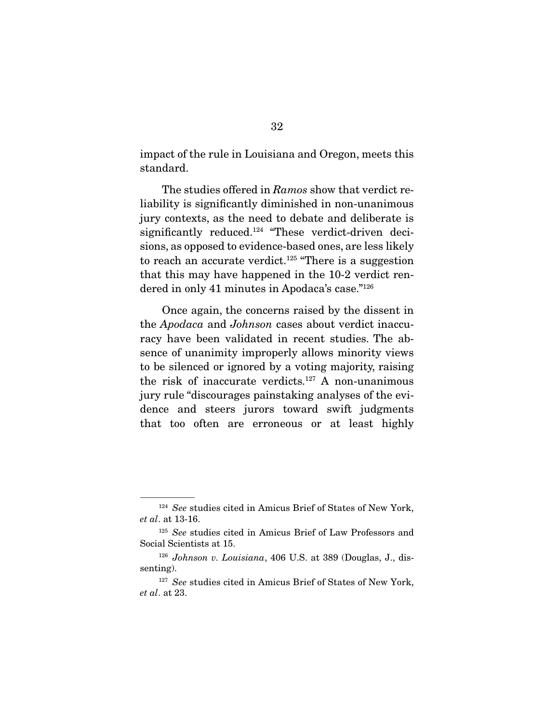impact of the rule in Louisiana and Oregon, meets this standard.

 The studies offered in *Ramos* show that verdict reliability is significantly diminished in non-unanimous jury contexts, as the need to debate and deliberate is significantly reduced.<sup>124</sup> "These verdict-driven decisions, as opposed to evidence-based ones, are less likely to reach an accurate verdict.<sup>125</sup> "There is a suggestion that this may have happened in the 10-2 verdict rendered in only 41 minutes in Apodaca's case."126

 Once again, the concerns raised by the dissent in the *Apodaca* and *Johnson* cases about verdict inaccuracy have been validated in recent studies. The absence of unanimity improperly allows minority views to be silenced or ignored by a voting majority, raising the risk of inaccurate verdicts.<sup>127</sup> A non-unanimous jury rule "discourages painstaking analyses of the evidence and steers jurors toward swift judgments that too often are erroneous or at least highly

<sup>124</sup> *See* studies cited in Amicus Brief of States of New York, *et al*. at 13-16.

<sup>125</sup> *See* studies cited in Amicus Brief of Law Professors and Social Scientists at 15.

<sup>126</sup> *Johnson v. Louisiana*, 406 U.S. at 389 (Douglas, J., dissenting).

<sup>&</sup>lt;sup>127</sup> See studies cited in Amicus Brief of States of New York, *et al*. at 23.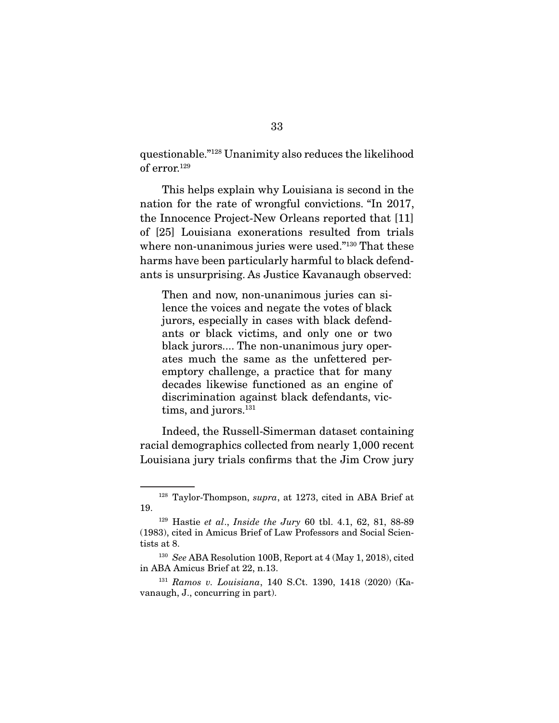questionable."128 Unanimity also reduces the likelihood of error.129

 This helps explain why Louisiana is second in the nation for the rate of wrongful convictions. "In 2017, the Innocence Project-New Orleans reported that [11] of [25] Louisiana exonerations resulted from trials where non-unanimous juries were used."<sup>130</sup> That these harms have been particularly harmful to black defendants is unsurprising. As Justice Kavanaugh observed:

Then and now, non-unanimous juries can silence the voices and negate the votes of black jurors, especially in cases with black defendants or black victims, and only one or two black jurors.... The non-unanimous jury operates much the same as the unfettered peremptory challenge, a practice that for many decades likewise functioned as an engine of discrimination against black defendants, victims, and jurors.<sup>131</sup>

 Indeed, the Russell-Simerman dataset containing racial demographics collected from nearly 1,000 recent Louisiana jury trials confirms that the Jim Crow jury

<sup>128</sup> Taylor-Thompson, *supra*, at 1273, cited in ABA Brief at 19.

<sup>129</sup> Hastie *et al*., *Inside the Jury* 60 tbl. 4.1, 62, 81, 88-89 (1983), cited in Amicus Brief of Law Professors and Social Scientists at 8.

<sup>130</sup> *See* ABA Resolution 100B, Report at 4 (May 1, 2018), cited in ABA Amicus Brief at 22, n.13.

<sup>131</sup> *Ramos v. Louisiana*, 140 S.Ct. 1390, 1418 (2020) (Kavanaugh, J., concurring in part).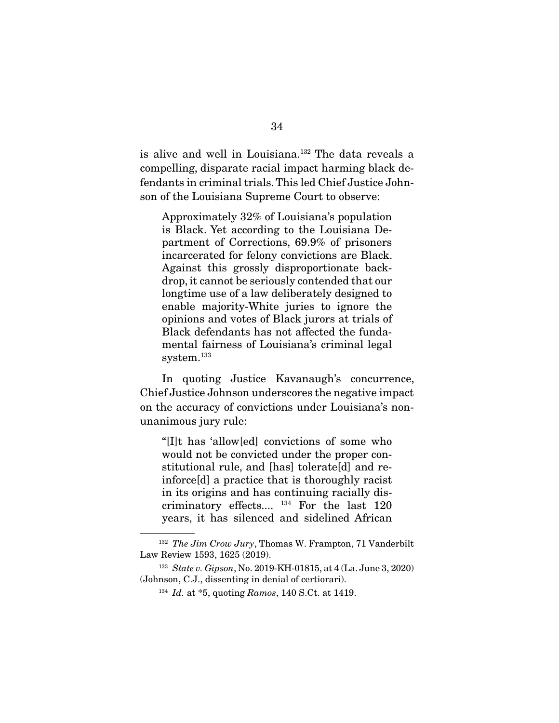is alive and well in Louisiana.132 The data reveals a compelling, disparate racial impact harming black defendants in criminal trials. This led Chief Justice Johnson of the Louisiana Supreme Court to observe:

Approximately 32% of Louisiana's population is Black. Yet according to the Louisiana Department of Corrections, 69.9% of prisoners incarcerated for felony convictions are Black. Against this grossly disproportionate backdrop, it cannot be seriously contended that our longtime use of a law deliberately designed to enable majority-White juries to ignore the opinions and votes of Black jurors at trials of Black defendants has not affected the fundamental fairness of Louisiana's criminal legal system.<sup>133</sup>

 In quoting Justice Kavanaugh's concurrence, Chief Justice Johnson underscores the negative impact on the accuracy of convictions under Louisiana's nonunanimous jury rule:

"[I]t has 'allow[ed] convictions of some who would not be convicted under the proper constitutional rule, and [has] tolerate[d] and reinforce[d] a practice that is thoroughly racist in its origins and has continuing racially discriminatory effects.... 134 For the last 120 years, it has silenced and sidelined African

<sup>132</sup> *The Jim Crow Jury*, Thomas W. Frampton, 71 Vanderbilt Law Review 1593, 1625 (2019).

<sup>133</sup> *State v. Gipson*, No. 2019-KH-01815, at 4 (La. June 3, 2020) (Johnson, C.J., dissenting in denial of certiorari).

<sup>134</sup> *Id.* at \*5, quoting *Ramos*, 140 S.Ct. at 1419.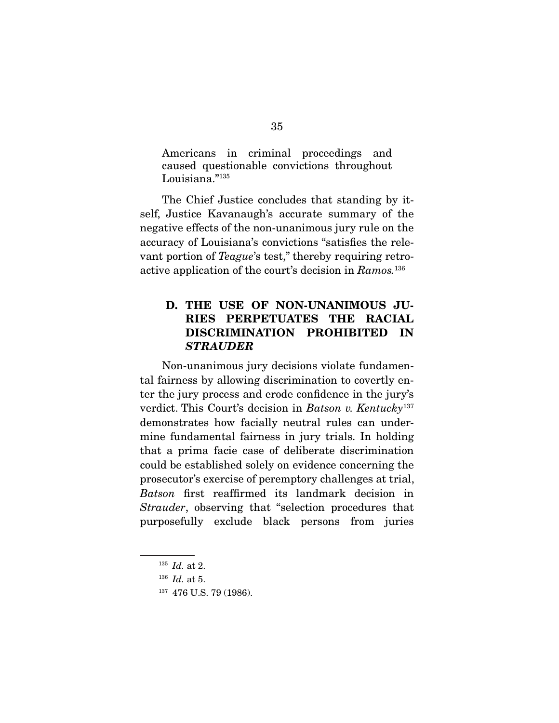Americans in criminal proceedings and caused questionable convictions throughout Louisiana."135

 The Chief Justice concludes that standing by itself, Justice Kavanaugh's accurate summary of the negative effects of the non-unanimous jury rule on the accuracy of Louisiana's convictions "satisfies the relevant portion of *Teague*'s test," thereby requiring retroactive application of the court's decision in *Ramos.*<sup>136</sup>

### D. THE USE OF NON-UNANIMOUS JU-RIES PERPETUATES THE RACIAL DISCRIMINATION PROHIBITED IN *STRAUDER*

 Non-unanimous jury decisions violate fundamental fairness by allowing discrimination to covertly enter the jury process and erode confidence in the jury's verdict. This Court's decision in *Batson v. Kentucky*<sup>137</sup> demonstrates how facially neutral rules can undermine fundamental fairness in jury trials. In holding that a prima facie case of deliberate discrimination could be established solely on evidence concerning the prosecutor's exercise of peremptory challenges at trial, *Batson* first reaffirmed its landmark decision in *Strauder*, observing that "selection procedures that purposefully exclude black persons from juries

<sup>135</sup> *Id.* at 2.

<sup>136</sup> *Id.* at 5.

<sup>137</sup> 476 U.S. 79 (1986).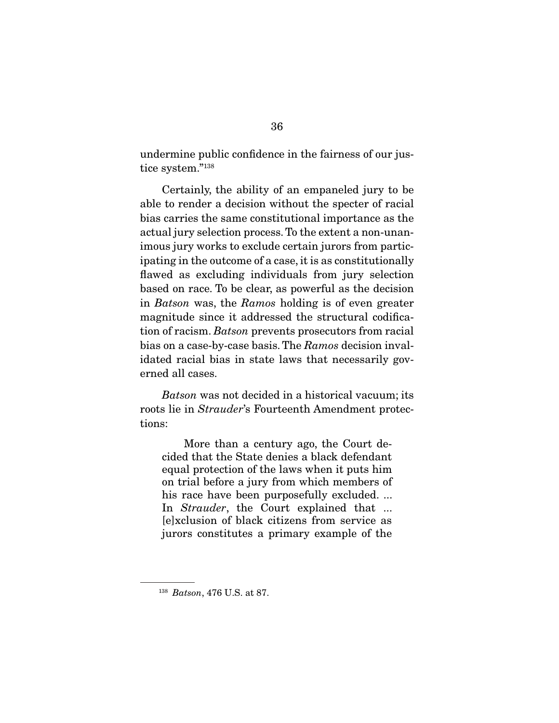undermine public confidence in the fairness of our justice system."138

 Certainly, the ability of an empaneled jury to be able to render a decision without the specter of racial bias carries the same constitutional importance as the actual jury selection process. To the extent a non-unanimous jury works to exclude certain jurors from participating in the outcome of a case, it is as constitutionally flawed as excluding individuals from jury selection based on race. To be clear, as powerful as the decision in *Batson* was, the *Ramos* holding is of even greater magnitude since it addressed the structural codification of racism. *Batson* prevents prosecutors from racial bias on a case-by-case basis. The *Ramos* decision invalidated racial bias in state laws that necessarily governed all cases.

*Batson* was not decided in a historical vacuum; its roots lie in *Strauder*'s Fourteenth Amendment protections:

 More than a century ago, the Court decided that the State denies a black defendant equal protection of the laws when it puts him on trial before a jury from which members of his race have been purposefully excluded. ... In *Strauder*, the Court explained that ... [e]xclusion of black citizens from service as jurors constitutes a primary example of the

<sup>138</sup> *Batson*, 476 U.S. at 87.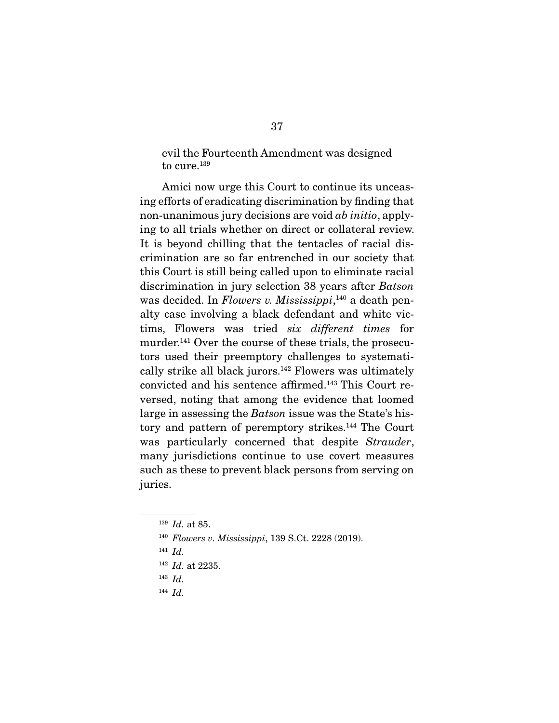evil the Fourteenth Amendment was designed to cure.<sup>139</sup>

 Amici now urge this Court to continue its unceasing efforts of eradicating discrimination by finding that non-unanimous jury decisions are void *ab initio*, applying to all trials whether on direct or collateral review. It is beyond chilling that the tentacles of racial discrimination are so far entrenched in our society that this Court is still being called upon to eliminate racial discrimination in jury selection 38 years after *Batson* was decided. In *Flowers v. Mississippi*, <sup>140</sup> a death penalty case involving a black defendant and white victims, Flowers was tried *six different times* for murder.<sup>141</sup> Over the course of these trials, the prosecutors used their preemptory challenges to systematically strike all black jurors.142 Flowers was ultimately convicted and his sentence affirmed.143 This Court reversed, noting that among the evidence that loomed large in assessing the *Batson* issue was the State's history and pattern of peremptory strikes.144 The Court was particularly concerned that despite *Strauder*, many jurisdictions continue to use covert measures such as these to prevent black persons from serving on juries.

<sup>144</sup> *Id.*

<sup>139</sup> *Id.* at 85.

<sup>140</sup> *Flowers v. Mississippi*, 139 S.Ct. 2228 (2019).

<sup>141</sup> *Id.*

<sup>142</sup> *Id.* at 2235.

<sup>143</sup> *Id.*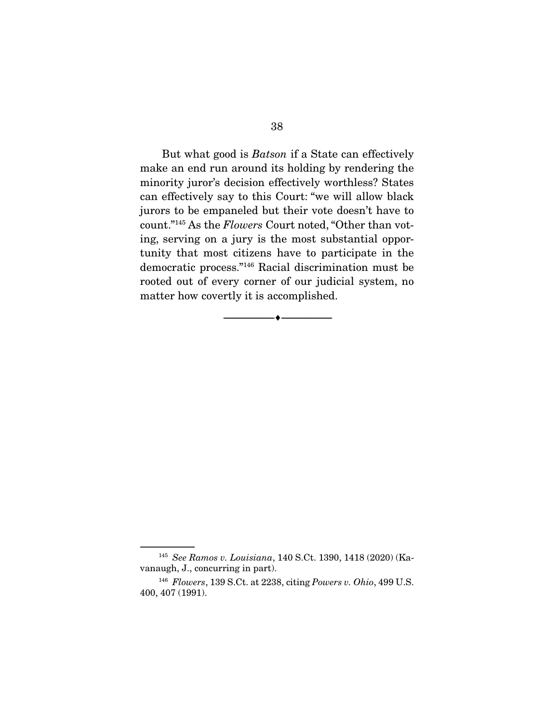But what good is *Batson* if a State can effectively make an end run around its holding by rendering the minority juror's decision effectively worthless? States can effectively say to this Court: "we will allow black jurors to be empaneled but their vote doesn't have to count."145 As the *Flowers* Court noted, "Other than voting, serving on a jury is the most substantial opportunity that most citizens have to participate in the democratic process."146 Racial discrimination must be rooted out of every corner of our judicial system, no matter how covertly it is accomplished.

--------------------------------- ---------------------------------

<sup>145</sup> *See Ramos v. Louisiana*, 140 S.Ct. 1390, 1418 (2020) (Kavanaugh, J., concurring in part).

<sup>146</sup> *Flowers*, 139 S.Ct. at 2238, citing *Powers v. Ohio*, 499 U.S. 400, 407 (1991).